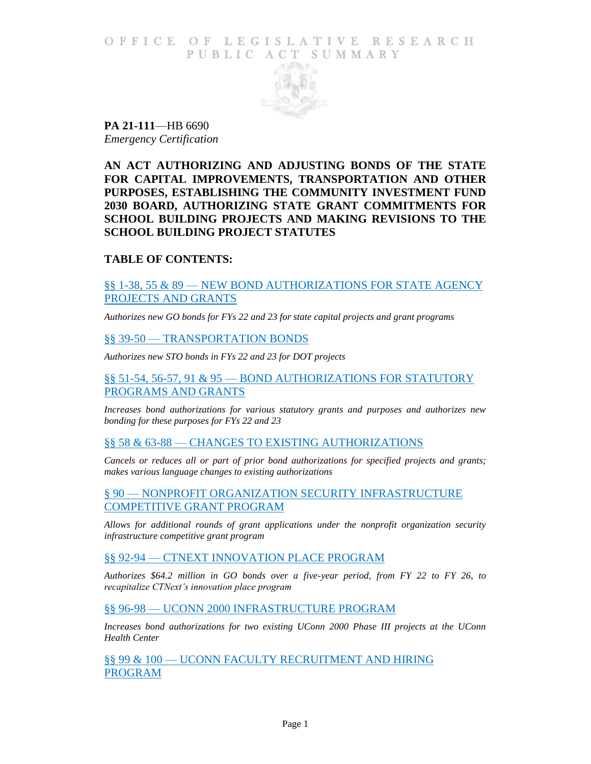### O F FICE OF LEGISLATIVE RESEARCH PUBLIC ACT SUMMARY



**PA 21-111**—HB 6690 *Emergency Certification*

**AN ACT AUTHORIZING AND ADJUSTING BONDS OF THE STATE FOR CAPITAL IMPROVEMENTS, TRANSPORTATION AND OTHER PURPOSES, ESTABLISHING THE COMMUNITY INVESTMENT FUND 2030 BOARD, AUTHORIZING STATE GRANT COMMITMENTS FOR SCHOOL BUILDING PROJECTS AND MAKING REVISIONS TO THE SCHOOL BUILDING PROJECT STATUTES**

# **TABLE OF CONTENTS:**

§§ 1-38, 55 & 89 — [NEW BOND AUTHORIZATIONS FOR STATE AGENCY](#page-2-0) [PROJECTS AND GRANTS](#page-2-0)

*[Authorizes new GO bonds for FYs 22 and 23 for state capital projects and grant programs](#page-2-1)*

#### §§ 39-50 — [TRANSPORTATION BONDS](#page-8-0)

*[Authorizes new STO bonds in FYs 22 and 23 for DOT projects](#page-8-1)*

### §§ 51-54, 56-57, 91 & 95 — [BOND AUTHORIZATIONS FOR STATUTORY](#page-9-0)  [PROGRAMS AND GRANTS](#page-9-0)

*[Increases bond authorizations for various statutory grants and purposes and authorizes new](#page-9-1)  [bonding for these purposes for FYs 22 and 23](#page-9-1)*

#### §§ 58 & 63-88 — [CHANGES TO EXISTING AUTHORIZATIONS](#page-10-0)

*[Cancels or reduces all or part of prior bond authorizations for specified projects and grants;](#page-10-1)  [makes various language changes to existing authorizations](#page-10-1)*

§ 90 — [NONPROFIT ORGANIZATION SECURITY INFRASTRUCTURE](#page-12-0)  [COMPETITIVE GRANT PROGRAM](#page-12-0)

*[Allows for additional rounds of grant applications under the nonprofit organization security](#page-12-1)  [infrastructure competitive grant program](#page-12-1)*

#### §§ 92-94 — [CTNEXT INNOVATION PLACE PROGRAM](#page-12-2)

*[Authorizes \\$64.2 million in GO bonds over a five-year period, from FY 22 to FY 26, to](#page-12-3)  [recapitalize CTNext's innovation place program](#page-12-3)*

§§ 96-98 — [UCONN 2000 INFRASTRUCTURE PROGRAM](#page-13-0)

*[Increases bond authorizations for two existing UConn 2000 Phase III projects at the UConn](#page-13-1)  [Health Center](#page-13-1)*

§§ 99 & 100 — [UCONN FACULTY RECRUITMENT AND HIRING](#page-13-2)  [PROGRAM](#page-13-2)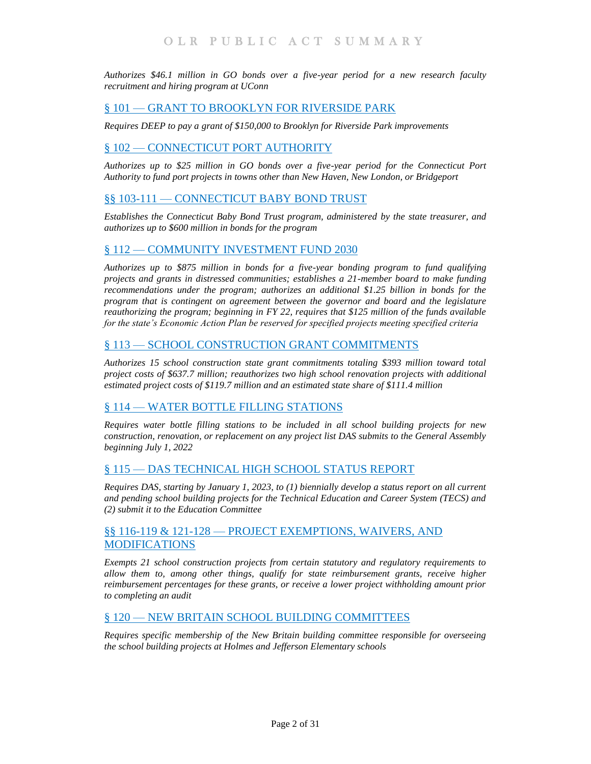*[Authorizes \\$46.1 million in GO bonds over a five-year period for a new research faculty](#page-13-3)  [recruitment and hiring program at UConn](#page-13-3)*

### § 101 — [GRANT TO BROOKLYN FOR RIVERSIDE PARK](#page-14-0)

*Requires DEEP to pay a [grant of \\$150,000 to Brooklyn for Riverside Park improvements](#page-14-1)*

#### § 102 — [CONNECTICUT PORT AUTHORITY](#page-15-0)

*[Authorizes up to \\$25 million in GO bonds over a five-year period for the Connecticut Port](#page-15-1)  [Authority to fund port projects in towns other than New Haven, New London, or Bridgeport](#page-15-1)*

# §§ 103-111 — [CONNECTICUT BABY BOND TRUST](#page-15-2)

*[Establishes the Connecticut Baby Bond Trust program, administered by the state treasurer, and](#page-15-3)  [authorizes up to \\$600 million in bonds for the program](#page-15-3)*

### § 112 — [COMMUNITY INVESTMENT](#page-19-0) FUND 2030

*[Authorizes up to \\$875 million in bonds for a five-year bonding program](#page-19-1) to fund qualifying [projects and grants in distressed communities; establishes a 21-member board to make funding](#page-19-1)  [recommendations under the program; authorizes an additional \\$1.25 billion in bonds for the](#page-19-1)  [program that is contingent on agreement between the governor and board and the legislature](#page-19-1)  [reauthorizing the program; beginning in FY 22, requires that \\$125 million of the funds available](#page-19-1)  [for the state's Economic Action Plan be reserved for specified projects meeting specified criteria](#page-19-1)*

# § 113 — [SCHOOL CONSTRUCTION GRANT COMMITMENTS](#page-24-0)

*[Authorizes 15 school construction state grant commitments totaling \\$393 million toward total](#page-24-1)  [project costs of \\$637.7 million; reauthorizes two high school renovation projects with additional](#page-24-1)  [estimated project costs of \\$119.7 million and an estimated state share of \\$111.4 million](#page-24-1)*

#### § 114 — [WATER BOTTLE FILLING](#page-26-0) STATIONS

*Requires water bottle filling stations to [be included in all school building projects for new](#page-26-1)  [construction, renovation, or replacement on any project list DAS submits to the General Assembly](#page-26-1)  [beginning July 1, 2022](#page-26-1)*

# § 115 — [DAS TECHNICAL HIGH SCHOOL STATUS REPORT](#page-26-2)

*[Requires DAS, starting by January 1, 2023, to \(1\) biennially develop a status report on all current](#page-27-0)  [and pending school building projects for the Technical Education and Career System \(TECS\) and](#page-27-0)  [\(2\) submit it to the Education Committee](#page-27-0)*

### §§ 116-119 & 121-128 — [PROJECT EXEMPTIONS, WAIVERS, AND](#page-27-1)  [MODIFICATIONS](#page-27-1)

*[Exempts 21 school construction projects from certain statutory and regulatory requirements to](#page-27-2)  allow them to, among [other things, qualify for state reimbursement grants, receive higher](#page-27-2)  [reimbursement percentages for these grants, or receive a lower project withholding amount prior](#page-27-2)  [to completing an audit](#page-27-2)*

#### § 120 — [NEW BRITAIN SCHOOL BUILDING](#page-29-0) COMMITTEES

*[Requires specific membership of the New Britain building committee responsible for overseeing](#page-29-1)  [the school building projects at Holmes and Jefferson Elementary schools](#page-29-1)*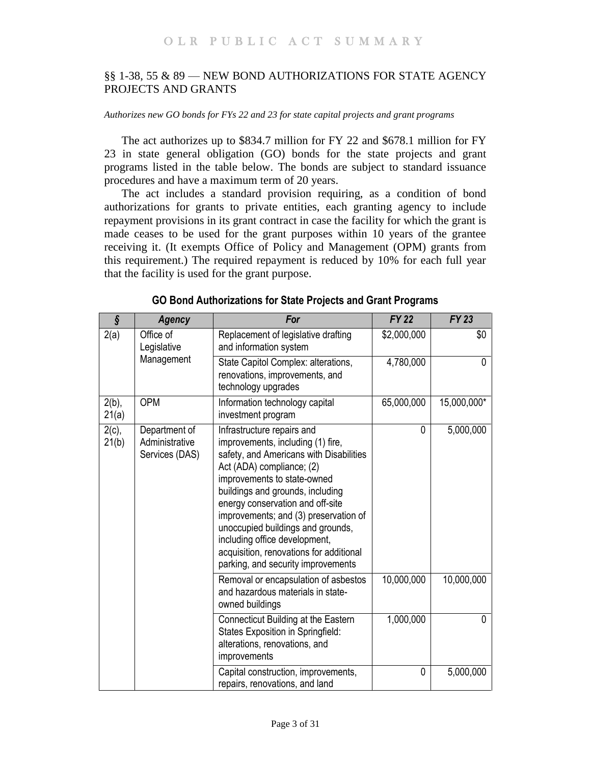# <span id="page-2-0"></span>§§ 1-38, 55 & 89 — NEW BOND AUTHORIZATIONS FOR STATE AGENCY PROJECTS AND GRANTS

<span id="page-2-1"></span>*Authorizes new GO bonds for FYs 22 and 23 for state capital projects and grant programs*

The act authorizes up to \$834.7 million for FY 22 and \$678.1 million for FY 23 in state general obligation (GO) bonds for the state projects and grant programs listed in the table below. The bonds are subject to standard issuance procedures and have a maximum term of 20 years.

The act includes a standard provision requiring, as a condition of bond authorizations for grants to private entities, each granting agency to include repayment provisions in its grant contract in case the facility for which the grant is made ceases to be used for the grant purposes within 10 years of the grantee receiving it. (It exempts Office of Policy and Management (OPM) grants from this requirement.) The required repayment is reduced by 10% for each full year that the facility is used for the grant purpose.

| $\hat{\mathcal{S}}$ | <b>Agency</b>                                     | For                                                                                                                                                                                                                                                                                                                                                                                                                                            | <b>FY 22</b> | <b>FY 23</b> |
|---------------------|---------------------------------------------------|------------------------------------------------------------------------------------------------------------------------------------------------------------------------------------------------------------------------------------------------------------------------------------------------------------------------------------------------------------------------------------------------------------------------------------------------|--------------|--------------|
| 2(a)                | Office of<br>Legislative                          | Replacement of legislative drafting<br>and information system                                                                                                                                                                                                                                                                                                                                                                                  | \$2,000,000  | \$0          |
|                     | Management                                        | State Capitol Complex: alterations,<br>renovations, improvements, and<br>technology upgrades                                                                                                                                                                                                                                                                                                                                                   | 4,780,000    | 0            |
| $2(b)$ ,<br>21(a)   | <b>OPM</b>                                        | Information technology capital<br>investment program                                                                                                                                                                                                                                                                                                                                                                                           | 65,000,000   | 15,000,000*  |
| $2(c)$ ,<br>21(b)   | Department of<br>Administrative<br>Services (DAS) | Infrastructure repairs and<br>improvements, including (1) fire,<br>safety, and Americans with Disabilities<br>Act (ADA) compliance; (2)<br>improvements to state-owned<br>buildings and grounds, including<br>energy conservation and off-site<br>improvements; and (3) preservation of<br>unoccupied buildings and grounds,<br>including office development,<br>acquisition, renovations for additional<br>parking, and security improvements | 0            | 5,000,000    |
|                     |                                                   | Removal or encapsulation of asbestos<br>and hazardous materials in state-<br>owned buildings                                                                                                                                                                                                                                                                                                                                                   | 10,000,000   | 10,000,000   |
|                     |                                                   | Connecticut Building at the Eastern<br>States Exposition in Springfield:<br>alterations, renovations, and<br>improvements                                                                                                                                                                                                                                                                                                                      | 1,000,000    | 0            |
|                     |                                                   | Capital construction, improvements,<br>repairs, renovations, and land                                                                                                                                                                                                                                                                                                                                                                          | 0            | 5,000,000    |

**GO Bond Authorizations for State Projects and Grant Programs**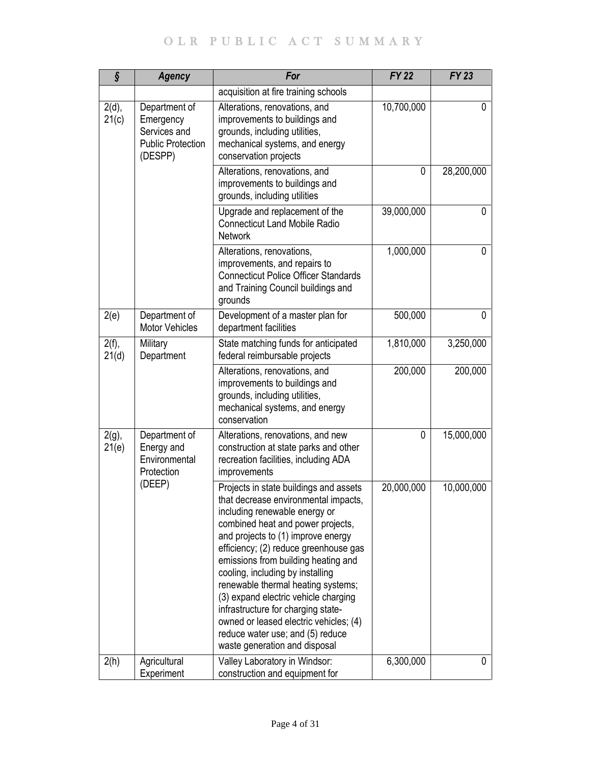| ş                 | <b>Agency</b>                                                                     | For                                                                                                                                                                                                                                                                                                                                                                                                                                                                                                                                               | <b>FY 22</b> | $\overline{FY}$ 23 |
|-------------------|-----------------------------------------------------------------------------------|---------------------------------------------------------------------------------------------------------------------------------------------------------------------------------------------------------------------------------------------------------------------------------------------------------------------------------------------------------------------------------------------------------------------------------------------------------------------------------------------------------------------------------------------------|--------------|--------------------|
|                   |                                                                                   | acquisition at fire training schools                                                                                                                                                                                                                                                                                                                                                                                                                                                                                                              |              |                    |
| 2(d),<br>21(c)    | Department of<br>Emergency<br>Services and<br><b>Public Protection</b><br>(DESPP) | Alterations, renovations, and<br>improvements to buildings and<br>grounds, including utilities,<br>mechanical systems, and energy<br>conservation projects                                                                                                                                                                                                                                                                                                                                                                                        | 10,700,000   | 0                  |
|                   |                                                                                   | Alterations, renovations, and<br>improvements to buildings and<br>grounds, including utilities                                                                                                                                                                                                                                                                                                                                                                                                                                                    | 0            | 28,200,000         |
|                   |                                                                                   | Upgrade and replacement of the<br><b>Connecticut Land Mobile Radio</b><br><b>Network</b>                                                                                                                                                                                                                                                                                                                                                                                                                                                          | 39,000,000   | 0                  |
|                   |                                                                                   | Alterations, renovations,<br>improvements, and repairs to<br><b>Connecticut Police Officer Standards</b><br>and Training Council buildings and<br>grounds                                                                                                                                                                                                                                                                                                                                                                                         | 1,000,000    | 0                  |
| 2(e)              | Department of<br><b>Motor Vehicles</b>                                            | Development of a master plan for<br>department facilities                                                                                                                                                                                                                                                                                                                                                                                                                                                                                         | 500,000      | 0                  |
| $2(f)$ ,<br>21(d) | Military<br>Department                                                            | State matching funds for anticipated<br>federal reimbursable projects                                                                                                                                                                                                                                                                                                                                                                                                                                                                             | 1,810,000    | 3,250,000          |
|                   |                                                                                   | Alterations, renovations, and<br>improvements to buildings and<br>grounds, including utilities,<br>mechanical systems, and energy<br>conservation                                                                                                                                                                                                                                                                                                                                                                                                 | 200,000      | 200,000            |
| $2(g)$ ,<br>21(e) | Department of<br>Energy and<br>Environmental<br>Protection                        | Alterations, renovations, and new<br>construction at state parks and other<br>recreation facilities, including ADA<br>improvements                                                                                                                                                                                                                                                                                                                                                                                                                | 0            | 15,000,000         |
|                   | (DEEP)                                                                            | Projects in state buildings and assets<br>that decrease environmental impacts,<br>including renewable energy or<br>combined heat and power projects,<br>and projects to (1) improve energy<br>efficiency; (2) reduce greenhouse gas<br>emissions from building heating and<br>cooling, including by installing<br>renewable thermal heating systems;<br>(3) expand electric vehicle charging<br>infrastructure for charging state-<br>owned or leased electric vehicles; (4)<br>reduce water use; and (5) reduce<br>waste generation and disposal | 20,000,000   | 10,000,000         |
| 2(h)              | Agricultural<br>Experiment                                                        | Valley Laboratory in Windsor:<br>construction and equipment for                                                                                                                                                                                                                                                                                                                                                                                                                                                                                   | 6,300,000    | 0                  |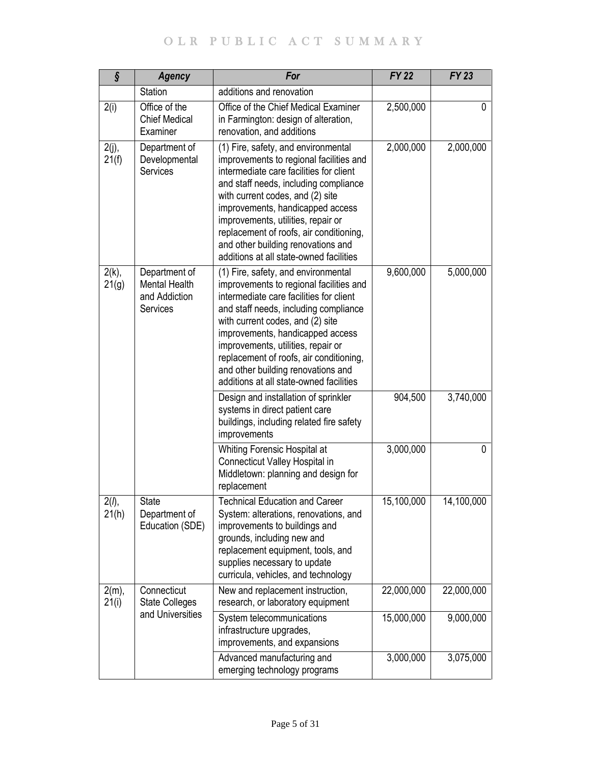| ş                 | <b>Agency</b>                                               | For                                                                                                                                                                                                                                                                                                                                                                                                          | <b>FY 22</b> | <b>FY 23</b> |
|-------------------|-------------------------------------------------------------|--------------------------------------------------------------------------------------------------------------------------------------------------------------------------------------------------------------------------------------------------------------------------------------------------------------------------------------------------------------------------------------------------------------|--------------|--------------|
|                   | Station                                                     | additions and renovation                                                                                                                                                                                                                                                                                                                                                                                     |              |              |
| 2(i)              | Office of the<br><b>Chief Medical</b><br>Examiner           | Office of the Chief Medical Examiner<br>in Farmington: design of alteration,<br>renovation, and additions                                                                                                                                                                                                                                                                                                    | 2,500,000    | 0            |
| $2(j)$ ,<br>21(f) | Department of<br>Developmental<br><b>Services</b>           | (1) Fire, safety, and environmental<br>improvements to regional facilities and<br>intermediate care facilities for client<br>and staff needs, including compliance<br>with current codes, and (2) site<br>improvements, handicapped access<br>improvements, utilities, repair or<br>replacement of roofs, air conditioning,<br>and other building renovations and<br>additions at all state-owned facilities | 2,000,000    | 2,000,000    |
| $2(k)$ ,<br>21(g) | Department of<br>Mental Health<br>and Addiction<br>Services | (1) Fire, safety, and environmental<br>improvements to regional facilities and<br>intermediate care facilities for client<br>and staff needs, including compliance<br>with current codes, and (2) site<br>improvements, handicapped access<br>improvements, utilities, repair or<br>replacement of roofs, air conditioning,<br>and other building renovations and<br>additions at all state-owned facilities | 9,600,000    | 5,000,000    |
|                   |                                                             | Design and installation of sprinkler<br>systems in direct patient care<br>buildings, including related fire safety<br>improvements                                                                                                                                                                                                                                                                           | 904,500      | 3,740,000    |
|                   |                                                             | Whiting Forensic Hospital at<br>Connecticut Valley Hospital in<br>Middletown: planning and design for<br>replacement                                                                                                                                                                                                                                                                                         | 3,000,000    | 0            |
| 2(1),<br>21(h)    | State<br>Department of<br>Education (SDE)                   | <b>Technical Education and Career</b><br>System: alterations, renovations, and<br>improvements to buildings and<br>grounds, including new and<br>replacement equipment, tools, and<br>supplies necessary to update<br>curricula, vehicles, and technology                                                                                                                                                    | 15,100,000   | 14,100,000   |
| $2(m)$ ,<br>21(i) | Connecticut<br><b>State Colleges</b>                        | New and replacement instruction,<br>research, or laboratory equipment                                                                                                                                                                                                                                                                                                                                        | 22,000,000   | 22,000,000   |
|                   | and Universities                                            | System telecommunications<br>infrastructure upgrades,<br>improvements, and expansions                                                                                                                                                                                                                                                                                                                        | 15,000,000   | 9,000,000    |
|                   |                                                             | Advanced manufacturing and<br>emerging technology programs                                                                                                                                                                                                                                                                                                                                                   | 3,000,000    | 3,075,000    |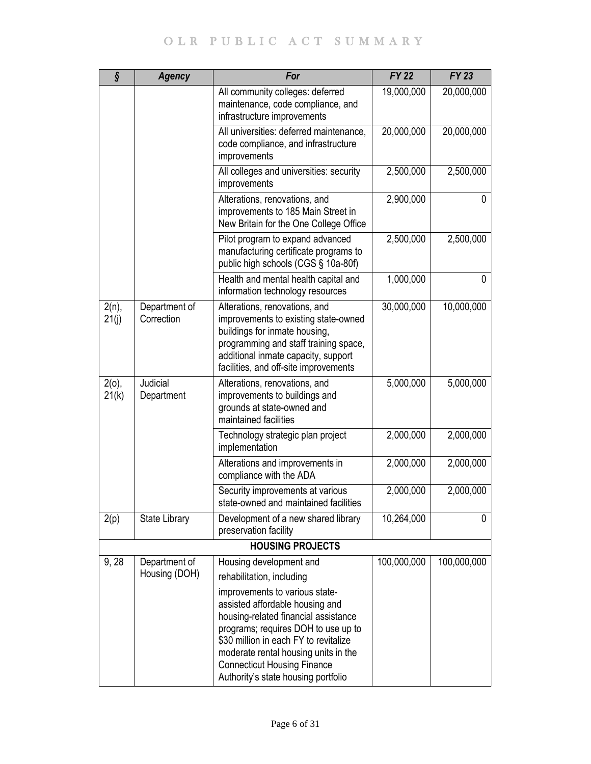| $\hat{\mathbf{S}}$ | <b>Agency</b>                  | For                                                                                                                                                                                                                                       | <b>FY 22</b> | <b>FY 23</b> |
|--------------------|--------------------------------|-------------------------------------------------------------------------------------------------------------------------------------------------------------------------------------------------------------------------------------------|--------------|--------------|
|                    |                                | All community colleges: deferred<br>maintenance, code compliance, and<br>infrastructure improvements                                                                                                                                      | 19,000,000   | 20,000,000   |
|                    |                                | All universities: deferred maintenance,<br>code compliance, and infrastructure<br>improvements                                                                                                                                            | 20,000,000   | 20,000,000   |
|                    |                                | All colleges and universities: security<br>improvements                                                                                                                                                                                   | 2,500,000    | 2,500,000    |
|                    |                                | Alterations, renovations, and<br>improvements to 185 Main Street in<br>New Britain for the One College Office                                                                                                                             | 2,900,000    | 0            |
|                    |                                | Pilot program to expand advanced<br>manufacturing certificate programs to<br>public high schools (CGS § 10a-80f)                                                                                                                          | 2,500,000    | 2,500,000    |
|                    |                                | Health and mental health capital and<br>information technology resources                                                                                                                                                                  | 1,000,000    | 0            |
| $2(n)$ ,<br>21(j)  | Department of<br>Correction    | Alterations, renovations, and<br>improvements to existing state-owned<br>buildings for inmate housing,<br>programming and staff training space,<br>additional inmate capacity, support<br>facilities, and off-site improvements           | 30,000,000   | 10,000,000   |
| $2(o)$ ,<br>21(k)  | Judicial<br>Department         | Alterations, renovations, and<br>improvements to buildings and<br>grounds at state-owned and<br>maintained facilities                                                                                                                     | 5,000,000    | 5,000,000    |
|                    |                                | Technology strategic plan project<br>implementation                                                                                                                                                                                       | 2,000,000    | 2,000,000    |
|                    |                                | Alterations and improvements in<br>compliance with the ADA                                                                                                                                                                                | 2,000,000    | 2,000,000    |
|                    |                                | Security improvements at various<br>state-owned and maintained facilities                                                                                                                                                                 | 2,000,000    | 2,000,000    |
| 2(p)               | <b>State Library</b>           | Development of a new shared library<br>preservation facility                                                                                                                                                                              | 10,264,000   | 0            |
|                    |                                | <b>HOUSING PROJECTS</b>                                                                                                                                                                                                                   |              |              |
| 9,28               | Department of<br>Housing (DOH) | Housing development and<br>rehabilitation, including<br>improvements to various state-<br>assisted affordable housing and                                                                                                                 | 100,000,000  | 100,000,000  |
|                    |                                | housing-related financial assistance<br>programs; requires DOH to use up to<br>\$30 million in each FY to revitalize<br>moderate rental housing units in the<br><b>Connecticut Housing Finance</b><br>Authority's state housing portfolio |              |              |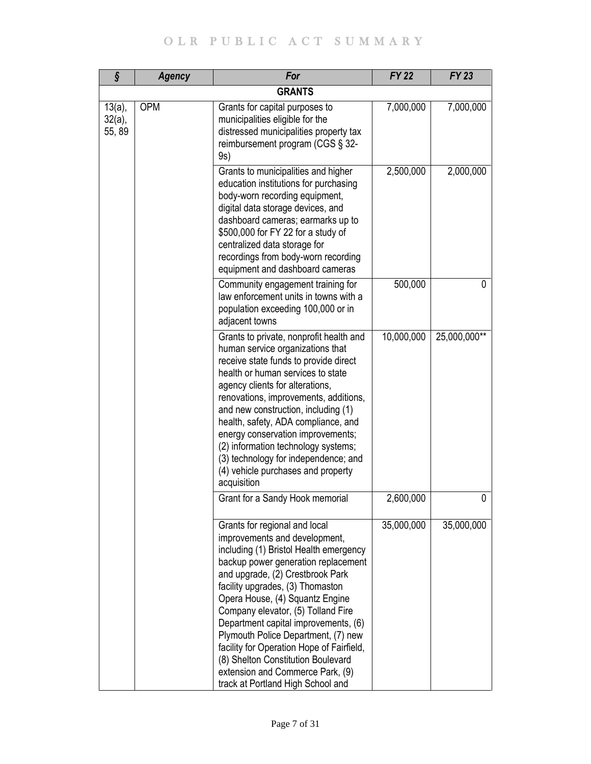| ş                                | <b>Agency</b> | For                                                                                                                                                                                                                                                                                                                                                                                                                                                                                                                                         | <b>FY 22</b> | <b>FY 23</b> |
|----------------------------------|---------------|---------------------------------------------------------------------------------------------------------------------------------------------------------------------------------------------------------------------------------------------------------------------------------------------------------------------------------------------------------------------------------------------------------------------------------------------------------------------------------------------------------------------------------------------|--------------|--------------|
|                                  |               | <b>GRANTS</b>                                                                                                                                                                                                                                                                                                                                                                                                                                                                                                                               |              |              |
| $13(a)$ ,<br>$32(a)$ ,<br>55, 89 | <b>OPM</b>    | Grants for capital purposes to<br>municipalities eligible for the<br>distressed municipalities property tax<br>reimbursement program (CGS § 32-<br>9s)                                                                                                                                                                                                                                                                                                                                                                                      | 7,000,000    | 7,000,000    |
|                                  |               | Grants to municipalities and higher<br>education institutions for purchasing<br>body-worn recording equipment,<br>digital data storage devices, and<br>dashboard cameras; earmarks up to<br>\$500,000 for FY 22 for a study of<br>centralized data storage for<br>recordings from body-worn recording<br>equipment and dashboard cameras                                                                                                                                                                                                    | 2,500,000    | 2,000,000    |
|                                  |               | Community engagement training for<br>law enforcement units in towns with a<br>population exceeding 100,000 or in<br>adjacent towns                                                                                                                                                                                                                                                                                                                                                                                                          | 500,000      | 0            |
|                                  |               | Grants to private, nonprofit health and<br>human service organizations that<br>receive state funds to provide direct<br>health or human services to state<br>agency clients for alterations,<br>renovations, improvements, additions,<br>and new construction, including (1)<br>health, safety, ADA compliance, and<br>energy conservation improvements;<br>(2) information technology systems;<br>(3) technology for independence; and<br>(4) vehicle purchases and property<br>acquisition                                                | 10,000,000   | 25,000,000** |
|                                  |               | Grant for a Sandy Hook memorial                                                                                                                                                                                                                                                                                                                                                                                                                                                                                                             | 2,600,000    | 0            |
|                                  |               | Grants for regional and local<br>improvements and development,<br>including (1) Bristol Health emergency<br>backup power generation replacement<br>and upgrade, (2) Crestbrook Park<br>facility upgrades, (3) Thomaston<br>Opera House, (4) Squantz Engine<br>Company elevator, (5) Tolland Fire<br>Department capital improvements, (6)<br>Plymouth Police Department, (7) new<br>facility for Operation Hope of Fairfield,<br>(8) Shelton Constitution Boulevard<br>extension and Commerce Park, (9)<br>track at Portland High School and | 35,000,000   | 35,000,000   |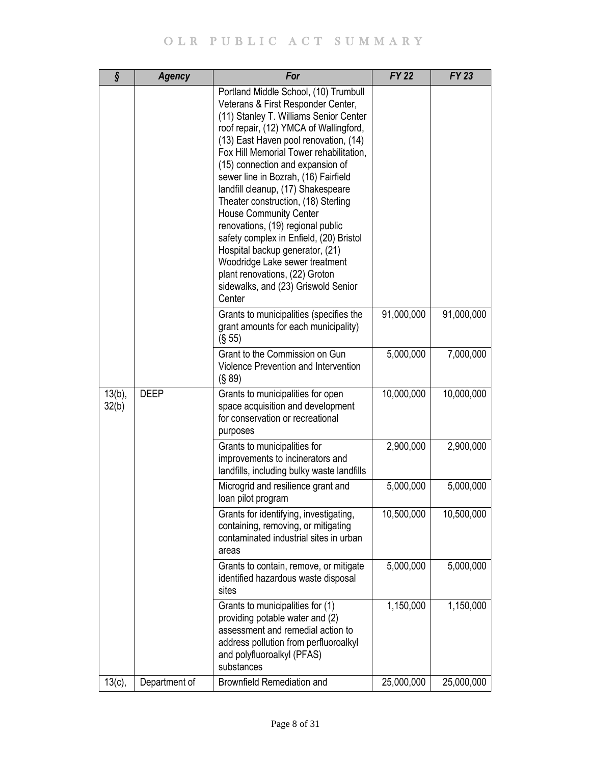| ş                  | <b>Agency</b> | For                                                                                                                                                                                                                                                                                                                                                                                                                                                                                                                                                                                                                                                                                   | <b>FY 22</b> | <b>FY 23</b> |
|--------------------|---------------|---------------------------------------------------------------------------------------------------------------------------------------------------------------------------------------------------------------------------------------------------------------------------------------------------------------------------------------------------------------------------------------------------------------------------------------------------------------------------------------------------------------------------------------------------------------------------------------------------------------------------------------------------------------------------------------|--------------|--------------|
|                    |               | Portland Middle School, (10) Trumbull<br>Veterans & First Responder Center,<br>(11) Stanley T. Williams Senior Center<br>roof repair, (12) YMCA of Wallingford,<br>(13) East Haven pool renovation, (14)<br>Fox Hill Memorial Tower rehabilitation,<br>(15) connection and expansion of<br>sewer line in Bozrah, (16) Fairfield<br>landfill cleanup, (17) Shakespeare<br>Theater construction, (18) Sterling<br><b>House Community Center</b><br>renovations, (19) regional public<br>safety complex in Enfield, (20) Bristol<br>Hospital backup generator, (21)<br>Woodridge Lake sewer treatment<br>plant renovations, (22) Groton<br>sidewalks, and (23) Griswold Senior<br>Center |              |              |
|                    |               | Grants to municipalities (specifies the<br>grant amounts for each municipality)<br>(S 55)                                                                                                                                                                                                                                                                                                                                                                                                                                                                                                                                                                                             | 91,000,000   | 91,000,000   |
|                    |               | Grant to the Commission on Gun<br>Violence Prevention and Intervention<br>(S 89)                                                                                                                                                                                                                                                                                                                                                                                                                                                                                                                                                                                                      | 5,000,000    | 7,000,000    |
| $13(b)$ ,<br>32(b) | <b>DEEP</b>   | Grants to municipalities for open<br>space acquisition and development<br>for conservation or recreational<br>purposes                                                                                                                                                                                                                                                                                                                                                                                                                                                                                                                                                                | 10,000,000   | 10,000,000   |
|                    |               | Grants to municipalities for<br>improvements to incinerators and<br>landfills, including bulky waste landfills                                                                                                                                                                                                                                                                                                                                                                                                                                                                                                                                                                        | 2,900,000    | 2,900,000    |
|                    |               | Microgrid and resilience grant and<br>loan pilot program                                                                                                                                                                                                                                                                                                                                                                                                                                                                                                                                                                                                                              | 5,000,000    | 5,000,000    |
|                    |               | Grants for identifying, investigating,<br>containing, removing, or mitigating<br>contaminated industrial sites in urban<br>areas                                                                                                                                                                                                                                                                                                                                                                                                                                                                                                                                                      | 10,500,000   | 10,500,000   |
|                    |               | Grants to contain, remove, or mitigate<br>identified hazardous waste disposal<br>sites                                                                                                                                                                                                                                                                                                                                                                                                                                                                                                                                                                                                | 5,000,000    | 5,000,000    |
|                    |               | Grants to municipalities for (1)<br>providing potable water and (2)<br>assessment and remedial action to<br>address pollution from perfluoroalkyl<br>and polyfluoroalkyl (PFAS)<br>substances                                                                                                                                                                                                                                                                                                                                                                                                                                                                                         | 1,150,000    | 1,150,000    |
| $13(c)$ ,          | Department of | Brownfield Remediation and                                                                                                                                                                                                                                                                                                                                                                                                                                                                                                                                                                                                                                                            | 25,000,000   | 25,000,000   |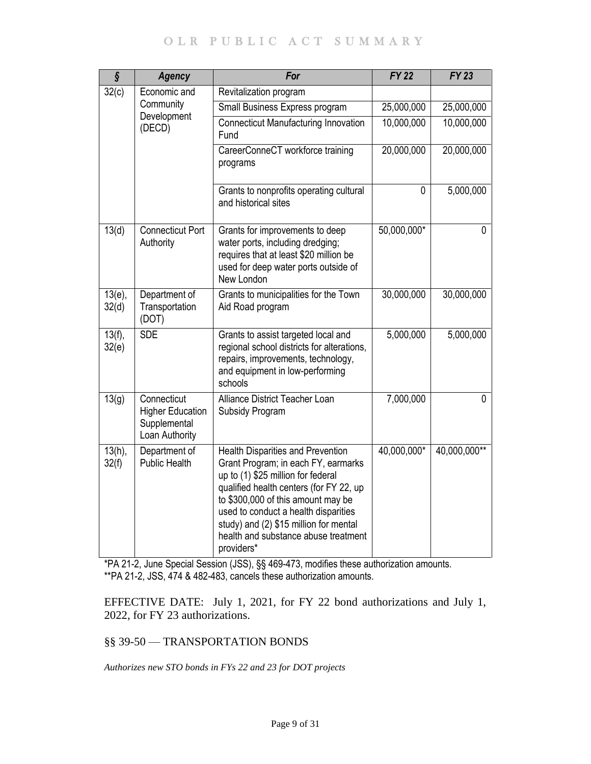# OLR PUBLIC ACT SUMMARY

| $\overline{\mathbf{\S}}$ | <b>Agency</b>                                                            | For                                                                                                                                                                                                                                                                                                                                            | $FY$ 22      | $FY$ 23      |
|--------------------------|--------------------------------------------------------------------------|------------------------------------------------------------------------------------------------------------------------------------------------------------------------------------------------------------------------------------------------------------------------------------------------------------------------------------------------|--------------|--------------|
| 32(c)                    | Economic and                                                             | Revitalization program                                                                                                                                                                                                                                                                                                                         |              |              |
|                          | Community<br>Development                                                 | Small Business Express program                                                                                                                                                                                                                                                                                                                 | 25,000,000   | 25,000,000   |
|                          | (DECD)                                                                   | <b>Connecticut Manufacturing Innovation</b><br>Fund                                                                                                                                                                                                                                                                                            | 10,000,000   | 10,000,000   |
|                          |                                                                          | CareerConneCT workforce training<br>programs                                                                                                                                                                                                                                                                                                   | 20,000,000   | 20,000,000   |
|                          |                                                                          | Grants to nonprofits operating cultural<br>and historical sites                                                                                                                                                                                                                                                                                | $\mathbf{0}$ | 5,000,000    |
| 13(d)                    | <b>Connecticut Port</b><br>Authority                                     | Grants for improvements to deep<br>water ports, including dredging;<br>requires that at least \$20 million be<br>used for deep water ports outside of<br>New London                                                                                                                                                                            | 50,000,000*  | 0            |
| $13(e)$ ,<br>32(d)       | Department of<br>Transportation<br>(DOT)                                 | Grants to municipalities for the Town<br>Aid Road program                                                                                                                                                                                                                                                                                      | 30,000,000   | 30,000,000   |
| 13(f),<br>32(e)          | <b>SDE</b>                                                               | Grants to assist targeted local and<br>regional school districts for alterations,<br>repairs, improvements, technology,<br>and equipment in low-performing<br>schools                                                                                                                                                                          | 5,000,000    | 5,000,000    |
| 13(g)                    | Connecticut<br><b>Higher Education</b><br>Supplemental<br>Loan Authority | Alliance District Teacher Loan<br>Subsidy Program                                                                                                                                                                                                                                                                                              | 7,000,000    | $\Omega$     |
| $13(h)$ ,<br>32(f)       | Department of<br><b>Public Health</b>                                    | <b>Health Disparities and Prevention</b><br>Grant Program; in each FY, earmarks<br>up to (1) \$25 million for federal<br>qualified health centers (for FY 22, up<br>to \$300,000 of this amount may be<br>used to conduct a health disparities<br>study) and (2) \$15 million for mental<br>health and substance abuse treatment<br>providers* | 40,000,000*  | 40,000,000** |

\*PA 21-2, June Special Session (JSS), §§ 469-473, modifies these authorization amounts. \*\*PA 21-2, JSS, 474 & 482-483, cancels these authorization amounts.

EFFECTIVE DATE: July 1, 2021, for FY 22 bond authorizations and July 1, 2022, for FY 23 authorizations.

# <span id="page-8-0"></span>§§ 39-50 — TRANSPORTATION BONDS

<span id="page-8-1"></span>*Authorizes new STO bonds in FYs 22 and 23 for DOT projects*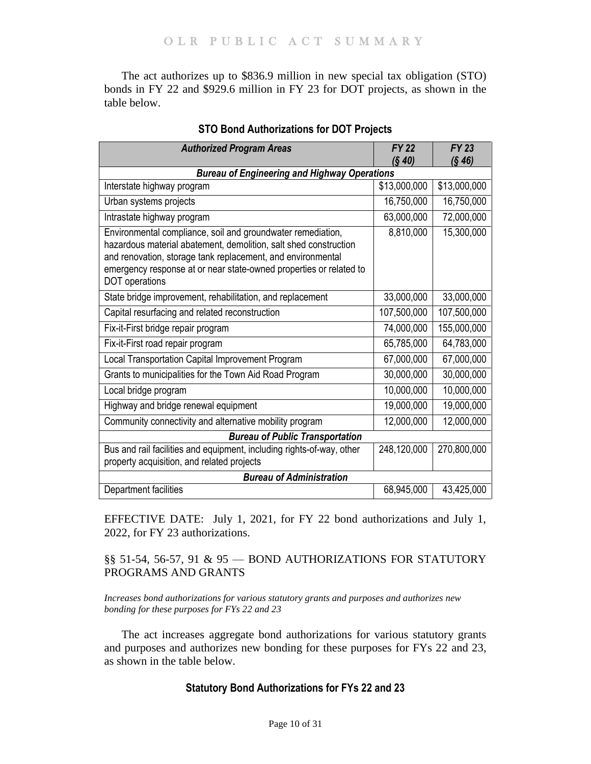The act authorizes up to \$836.9 million in new special tax obligation (STO) bonds in FY 22 and \$929.6 million in FY 23 for DOT projects, as shown in the table below.

| <b>Authorized Program Areas</b>                                                                                                                                                                                                                                                        | <b>FY 22</b><br>(S 40) | <b>FY 23</b><br>(S 46) |  |  |  |  |
|----------------------------------------------------------------------------------------------------------------------------------------------------------------------------------------------------------------------------------------------------------------------------------------|------------------------|------------------------|--|--|--|--|
| <b>Bureau of Engineering and Highway Operations</b>                                                                                                                                                                                                                                    |                        |                        |  |  |  |  |
| Interstate highway program                                                                                                                                                                                                                                                             | \$13,000,000           | \$13,000,000           |  |  |  |  |
| Urban systems projects                                                                                                                                                                                                                                                                 | 16,750,000             | 16,750,000             |  |  |  |  |
| Intrastate highway program                                                                                                                                                                                                                                                             | 63,000,000             | 72,000,000             |  |  |  |  |
| Environmental compliance, soil and groundwater remediation,<br>hazardous material abatement, demolition, salt shed construction<br>and renovation, storage tank replacement, and environmental<br>emergency response at or near state-owned properties or related to<br>DOT operations | 8,810,000              | 15,300,000             |  |  |  |  |
| State bridge improvement, rehabilitation, and replacement                                                                                                                                                                                                                              | 33,000,000             | 33,000,000             |  |  |  |  |
| Capital resurfacing and related reconstruction                                                                                                                                                                                                                                         | 107,500,000            | 107,500,000            |  |  |  |  |
| Fix-it-First bridge repair program                                                                                                                                                                                                                                                     | 74,000,000             | 155,000,000            |  |  |  |  |
| Fix-it-First road repair program                                                                                                                                                                                                                                                       | 65,785,000             | 64,783,000             |  |  |  |  |
| Local Transportation Capital Improvement Program                                                                                                                                                                                                                                       | 67,000,000             | 67,000,000             |  |  |  |  |
| Grants to municipalities for the Town Aid Road Program                                                                                                                                                                                                                                 | 30,000,000             | 30,000,000             |  |  |  |  |
| Local bridge program                                                                                                                                                                                                                                                                   | 10,000,000             | 10,000,000             |  |  |  |  |
| Highway and bridge renewal equipment                                                                                                                                                                                                                                                   | 19,000,000             | 19,000,000             |  |  |  |  |
| Community connectivity and alternative mobility program                                                                                                                                                                                                                                | 12,000,000             | 12,000,000             |  |  |  |  |
| <b>Bureau of Public Transportation</b>                                                                                                                                                                                                                                                 |                        |                        |  |  |  |  |
| Bus and rail facilities and equipment, including rights-of-way, other<br>property acquisition, and related projects                                                                                                                                                                    | 248,120,000            | 270,800,000            |  |  |  |  |
| <b>Bureau of Administration</b>                                                                                                                                                                                                                                                        |                        |                        |  |  |  |  |
| Department facilities                                                                                                                                                                                                                                                                  | 68,945,000             | 43,425,000             |  |  |  |  |

# **STO Bond Authorizations for DOT Projects**

EFFECTIVE DATE: July 1, 2021, for FY 22 bond authorizations and July 1, 2022, for FY 23 authorizations.

# <span id="page-9-0"></span>§§ 51-54, 56-57, 91 & 95 — BOND AUTHORIZATIONS FOR STATUTORY PROGRAMS AND GRANTS

<span id="page-9-1"></span>*Increases bond authorizations for various statutory grants and purposes and authorizes new bonding for these purposes for FYs 22 and 23*

The act increases aggregate bond authorizations for various statutory grants and purposes and authorizes new bonding for these purposes for FYs 22 and 23, as shown in the table below.

# **Statutory Bond Authorizations for FYs 22 and 23**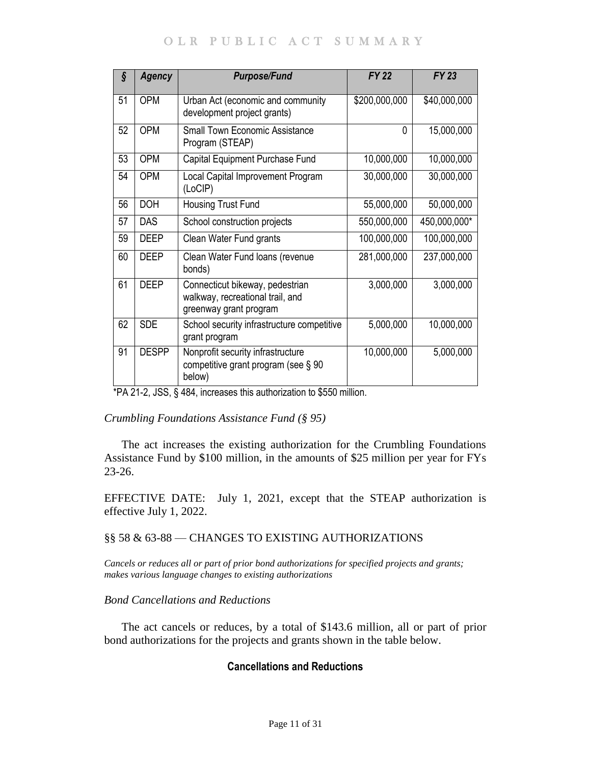# OLR PUBLIC ACT SUMMARY

| ş  | <b>Agency</b> | <b>Purpose/Fund</b>                                                                           | <b>FY 22</b>  | <b>FY 23</b> |
|----|---------------|-----------------------------------------------------------------------------------------------|---------------|--------------|
| 51 | <b>OPM</b>    | Urban Act (economic and community<br>development project grants)                              | \$200,000,000 | \$40,000,000 |
| 52 | <b>OPM</b>    | <b>Small Town Economic Assistance</b><br>Program (STEAP)                                      | 0             | 15,000,000   |
| 53 | <b>OPM</b>    | Capital Equipment Purchase Fund                                                               | 10,000,000    | 10,000,000   |
| 54 | <b>OPM</b>    | Local Capital Improvement Program<br>(LoCIP)                                                  | 30,000,000    | 30,000,000   |
| 56 | <b>DOH</b>    | Housing Trust Fund                                                                            | 55,000,000    | 50,000,000   |
| 57 | <b>DAS</b>    | School construction projects                                                                  | 550,000,000   | 450,000,000* |
| 59 | <b>DEEP</b>   | Clean Water Fund grants                                                                       | 100,000,000   | 100,000,000  |
| 60 | <b>DEEP</b>   | Clean Water Fund loans (revenue<br>bonds)                                                     | 281,000,000   | 237,000,000  |
| 61 | <b>DEEP</b>   | Connecticut bikeway, pedestrian<br>walkway, recreational trail, and<br>greenway grant program | 3,000,000     | 3,000,000    |
| 62 | <b>SDE</b>    | School security infrastructure competitive<br>grant program                                   | 5,000,000     | 10,000,000   |
| 91 | <b>DESPP</b>  | Nonprofit security infrastructure<br>competitive grant program (see § 90<br>below)            | 10,000,000    | 5,000,000    |

\*PA 21-2, JSS, § 484, increases this authorization to \$550 million.

# *Crumbling Foundations Assistance Fund (§ 95)*

The act increases the existing authorization for the Crumbling Foundations Assistance Fund by \$100 million, in the amounts of \$25 million per year for FYs 23-26.

EFFECTIVE DATE: July 1, 2021, except that the STEAP authorization is effective July 1, 2022.

# <span id="page-10-0"></span>§§ 58 & 63-88 — CHANGES TO EXISTING AUTHORIZATIONS

<span id="page-10-1"></span>*Cancels or reduces all or part of prior bond authorizations for specified projects and grants; makes various language changes to existing authorizations*

# *Bond Cancellations and Reductions*

The act cancels or reduces, by a total of \$143.6 million, all or part of prior bond authorizations for the projects and grants shown in the table below.

# **Cancellations and Reductions**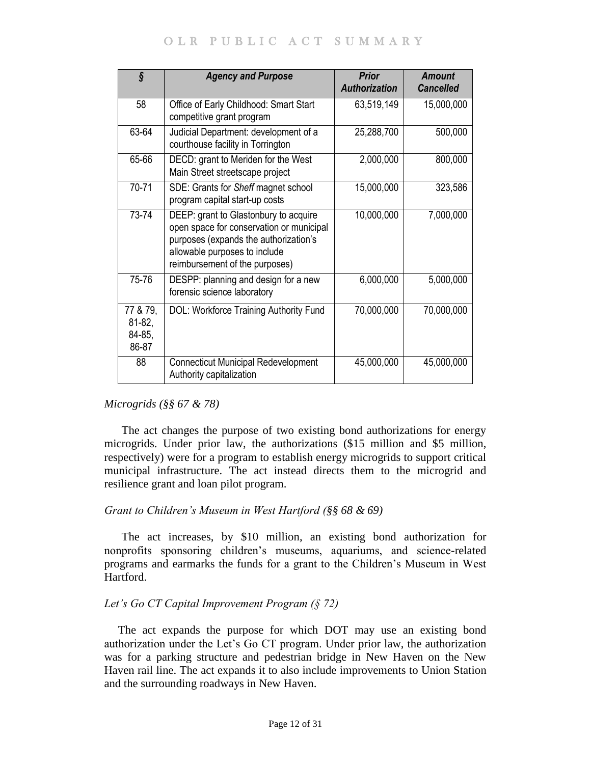# OLR PUBLIC ACT SUMMARY

| ş                                          | <b>Agency and Purpose</b>                                                                                                                                                                     | <b>Prior</b><br><b>Authorization</b> | <b>Amount</b><br><b>Cancelled</b> |
|--------------------------------------------|-----------------------------------------------------------------------------------------------------------------------------------------------------------------------------------------------|--------------------------------------|-----------------------------------|
| 58                                         | Office of Early Childhood: Smart Start<br>competitive grant program                                                                                                                           | 63,519,149                           | 15,000,000                        |
| 63-64                                      | Judicial Department: development of a<br>courthouse facility in Torrington                                                                                                                    | 25,288,700                           | 500,000                           |
| 65-66                                      | DECD: grant to Meriden for the West<br>Main Street streetscape project                                                                                                                        | 2,000,000                            | 800,000                           |
| 70-71                                      | SDE: Grants for Sheff magnet school<br>program capital start-up costs                                                                                                                         | 15,000,000                           | 323,586                           |
| 73-74                                      | DEEP: grant to Glastonbury to acquire<br>open space for conservation or municipal<br>purposes (expands the authorization's<br>allowable purposes to include<br>reimbursement of the purposes) | 10,000,000                           | 7,000,000                         |
| 75-76                                      | DESPP: planning and design for a new<br>forensic science laboratory                                                                                                                           | 6,000,000                            | 5,000,000                         |
| 77 & 79,<br>$81 - 82$ ,<br>84-85,<br>86-87 | DOL: Workforce Training Authority Fund                                                                                                                                                        | 70,000,000                           | 70,000,000                        |
| 88                                         | <b>Connecticut Municipal Redevelopment</b><br>Authority capitalization                                                                                                                        | 45,000,000                           | 45,000,000                        |

*Microgrids (§§ 67 & 78)*

The act changes the purpose of two existing bond authorizations for energy microgrids. Under prior law, the authorizations (\$15 million and \$5 million, respectively) were for a program to establish energy microgrids to support critical municipal infrastructure. The act instead directs them to the microgrid and resilience grant and loan pilot program.

# *Grant to Children's Museum in West Hartford (§§ 68 & 69)*

The act increases, by \$10 million, an existing bond authorization for nonprofits sponsoring children's museums, aquariums, and science-related programs and earmarks the funds for a grant to the Children's Museum in West Hartford.

# *Let's Go CT Capital Improvement Program (§ 72)*

The act expands the purpose for which DOT may use an existing bond authorization under the Let's Go CT program. Under prior law, the authorization was for a parking structure and pedestrian bridge in New Haven on the New Haven rail line. The act expands it to also include improvements to Union Station and the surrounding roadways in New Haven.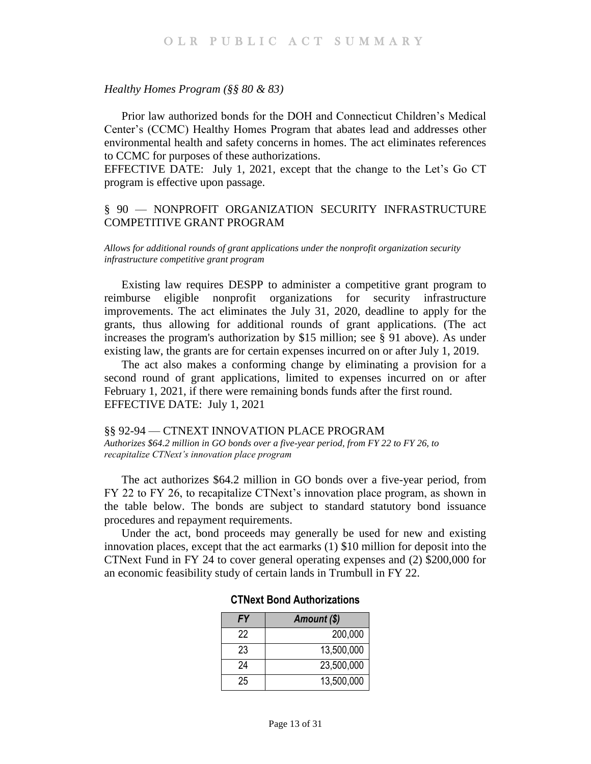#### *Healthy Homes Program (§§ 80 & 83)*

Prior law authorized bonds for the DOH and Connecticut Children's Medical Center's (CCMC) Healthy Homes Program that abates lead and addresses other environmental health and safety concerns in homes. The act eliminates references to CCMC for purposes of these authorizations.

EFFECTIVE DATE: July 1, 2021, except that the change to the Let's Go CT program is effective upon passage.

# <span id="page-12-0"></span>§ 90 — NONPROFIT ORGANIZATION SECURITY INFRASTRUCTURE COMPETITIVE GRANT PROGRAM

<span id="page-12-1"></span>*Allows for additional rounds of grant applications under the nonprofit organization security infrastructure competitive grant program*

Existing law requires DESPP to administer a competitive grant program to reimburse eligible nonprofit organizations for security infrastructure improvements. The act eliminates the July 31, 2020, deadline to apply for the grants, thus allowing for additional rounds of grant applications. (The act increases the program's authorization by \$15 million; see § 91 above). As under existing law, the grants are for certain expenses incurred on or after July 1, 2019.

The act also makes a conforming change by eliminating a provision for a second round of grant applications, limited to expenses incurred on or after February 1, 2021, if there were remaining bonds funds after the first round. EFFECTIVE DATE: July 1, 2021

<span id="page-12-3"></span><span id="page-12-2"></span>§§ 92-94 — CTNEXT INNOVATION PLACE PROGRAM *Authorizes \$64.2 million in GO bonds over a five-year period, from FY 22 to FY 26, to recapitalize CTNext's innovation place program*

The act authorizes \$64.2 million in GO bonds over a five-year period, from FY 22 to FY 26, to recapitalize CTNext's innovation place program, as shown in the table below. The bonds are subject to standard statutory bond issuance procedures and repayment requirements.

Under the act, bond proceeds may generally be used for new and existing innovation places, except that the act earmarks (1) \$10 million for deposit into the CTNext Fund in FY 24 to cover general operating expenses and (2) \$200,000 for an economic feasibility study of certain lands in Trumbull in FY 22.

| FY | Amount (\$) |
|----|-------------|
| 22 | 200,000     |
| 23 | 13,500,000  |
| 24 | 23,500,000  |
| 25 | 13,500,000  |

#### **CTNext Bond Authorizations**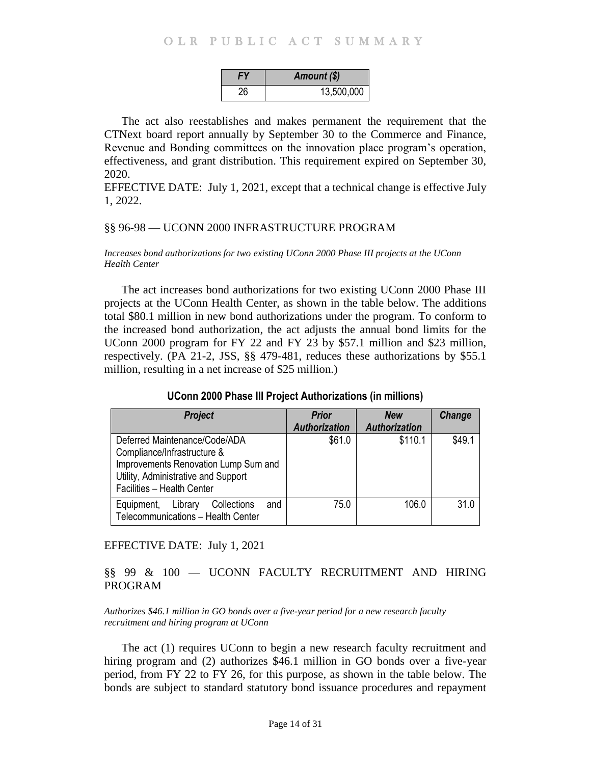# OLR PUBLIC ACT SUMMARY

|    | Amount (\$) |  |
|----|-------------|--|
| 26 | 13,500,000  |  |

The act also reestablishes and makes permanent the requirement that the CTNext board report annually by September 30 to the Commerce and Finance, Revenue and Bonding committees on the innovation place program's operation, effectiveness, and grant distribution. This requirement expired on September 30, 2020.

EFFECTIVE DATE: July 1, 2021, except that a technical change is effective July 1, 2022.

#### <span id="page-13-0"></span>§§ 96-98 — UCONN 2000 INFRASTRUCTURE PROGRAM

#### <span id="page-13-1"></span>*Increases bond authorizations for two existing UConn 2000 Phase III projects at the UConn Health Center*

The act increases bond authorizations for two existing UConn 2000 Phase III projects at the UConn Health Center, as shown in the table below. The additions total \$80.1 million in new bond authorizations under the program. To conform to the increased bond authorization, the act adjusts the annual bond limits for the UConn 2000 program for FY 22 and FY 23 by \$57.1 million and \$23 million, respectively. (PA 21-2, JSS, §§ 479-481, reduces these authorizations by \$55.1 million, resulting in a net increase of \$25 million.)

# **UConn 2000 Phase III Project Authorizations (in millions)**

| <b>Project</b>                                                                                                                                                            | <b>Prior</b>         | <b>New</b>           | <b>Change</b> |
|---------------------------------------------------------------------------------------------------------------------------------------------------------------------------|----------------------|----------------------|---------------|
|                                                                                                                                                                           | <b>Authorization</b> | <b>Authorization</b> |               |
| Deferred Maintenance/Code/ADA<br>Compliance/Infrastructure &<br>Improvements Renovation Lump Sum and<br>Utility, Administrative and Support<br>Facilities - Health Center | \$61.0               | \$110.1              | \$49.1        |
| Collections<br>Equipment,<br>Library<br>and<br>Telecommunications - Health Center                                                                                         | 75.0                 | 106.0                | 31.0          |

#### EFFECTIVE DATE: July 1, 2021

# <span id="page-13-2"></span>§§ 99 & 100 — UCONN FACULTY RECRUITMENT AND HIRING PROGRAM

#### <span id="page-13-3"></span>*Authorizes \$46.1 million in GO bonds over a five-year period for a new research faculty recruitment and hiring program at UConn*

The act (1) requires UConn to begin a new research faculty recruitment and hiring program and (2) authorizes \$46.1 million in GO bonds over a five-year period, from FY 22 to FY 26, for this purpose, as shown in the table below. The bonds are subject to standard statutory bond issuance procedures and repayment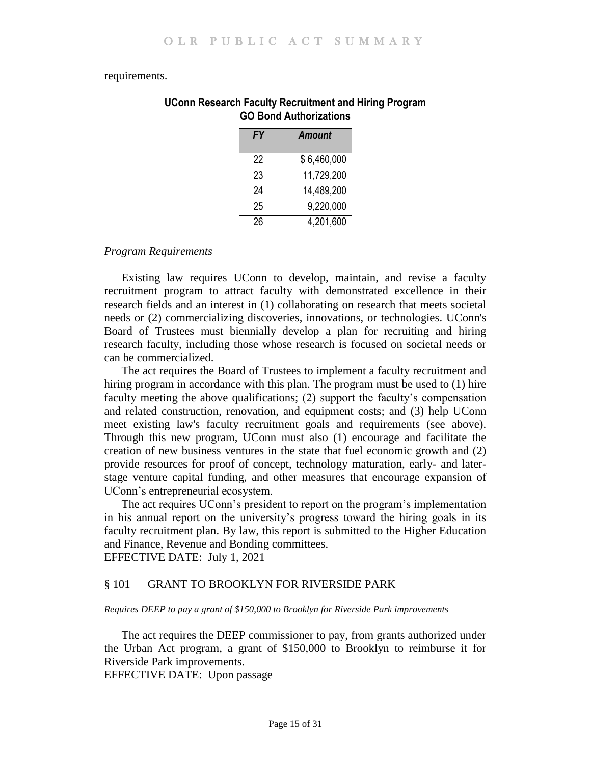#### requirements.

| <b>FY</b> | <b>Amount</b> |
|-----------|---------------|
| 22        | \$6,460,000   |
| 23        | 11,729,200    |
| 24        | 14,489,200    |
| 25        | 9,220,000     |
| 26        | 4,201,600     |

## **UConn Research Faculty Recruitment and Hiring Program GO Bond Authorizations**

# *Program Requirements*

Existing law requires UConn to develop, maintain, and revise a faculty recruitment program to attract faculty with demonstrated excellence in their research fields and an interest in (1) collaborating on research that meets societal needs or (2) commercializing discoveries, innovations, or technologies. UConn's Board of Trustees must biennially develop a plan for recruiting and hiring research faculty, including those whose research is focused on societal needs or can be commercialized.

The act requires the Board of Trustees to implement a faculty recruitment and hiring program in accordance with this plan. The program must be used to (1) hire faculty meeting the above qualifications; (2) support the faculty's compensation and related construction, renovation, and equipment costs; and (3) help UConn meet existing law's faculty recruitment goals and requirements (see above). Through this new program, UConn must also (1) encourage and facilitate the creation of new business ventures in the state that fuel economic growth and (2) provide resources for proof of concept, technology maturation, early- and laterstage venture capital funding, and other measures that encourage expansion of UConn's entrepreneurial ecosystem.

The act requires UConn's president to report on the program's implementation in his annual report on the university's progress toward the hiring goals in its faculty recruitment plan. By law, this report is submitted to the Higher Education and Finance, Revenue and Bonding committees. EFFECTIVE DATE: July 1, 2021

#### <span id="page-14-0"></span>§ 101 — GRANT TO BROOKLYN FOR RIVERSIDE PARK

<span id="page-14-1"></span>*Requires DEEP to pay a grant of \$150,000 to Brooklyn for Riverside Park improvements*

The act requires the DEEP commissioner to pay, from grants authorized under the Urban Act program, a grant of \$150,000 to Brooklyn to reimburse it for Riverside Park improvements.

EFFECTIVE DATE: Upon passage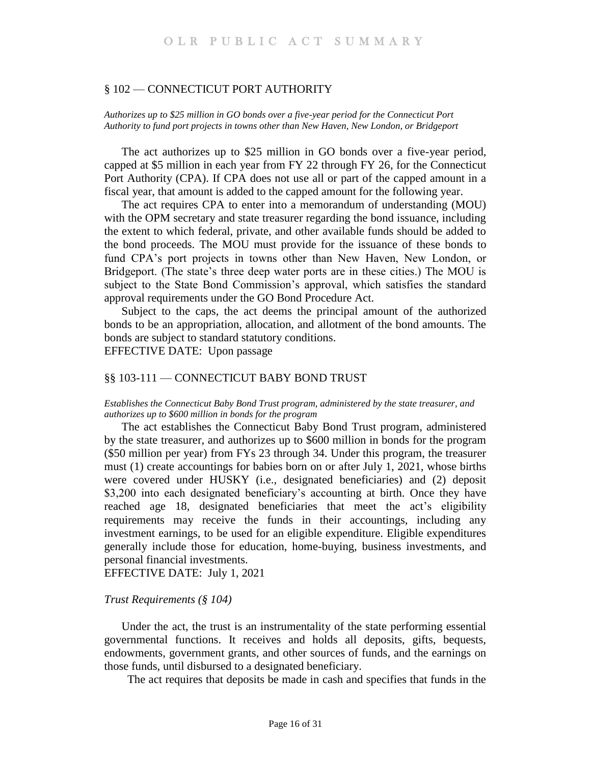#### <span id="page-15-0"></span>§ 102 — CONNECTICUT PORT AUTHORITY

<span id="page-15-1"></span>*Authorizes up to \$25 million in GO bonds over a five-year period for the Connecticut Port Authority to fund port projects in towns other than New Haven, New London, or Bridgeport*

The act authorizes up to \$25 million in GO bonds over a five-year period, capped at \$5 million in each year from FY 22 through FY 26, for the Connecticut Port Authority (CPA). If CPA does not use all or part of the capped amount in a fiscal year, that amount is added to the capped amount for the following year.

The act requires CPA to enter into a memorandum of understanding (MOU) with the OPM secretary and state treasurer regarding the bond issuance, including the extent to which federal, private, and other available funds should be added to the bond proceeds. The MOU must provide for the issuance of these bonds to fund CPA's port projects in towns other than New Haven, New London, or Bridgeport. (The state's three deep water ports are in these cities.) The MOU is subject to the State Bond Commission's approval, which satisfies the standard approval requirements under the GO Bond Procedure Act.

Subject to the caps, the act deems the principal amount of the authorized bonds to be an appropriation, allocation, and allotment of the bond amounts. The bonds are subject to standard statutory conditions.

EFFECTIVE DATE: Upon passage

# <span id="page-15-2"></span>§§ 103-111 — CONNECTICUT BABY BOND TRUST

#### <span id="page-15-3"></span>*Establishes the Connecticut Baby Bond Trust program, administered by the state treasurer, and authorizes up to \$600 million in bonds for the program*

The act establishes the Connecticut Baby Bond Trust program, administered by the state treasurer, and authorizes up to \$600 million in bonds for the program (\$50 million per year) from FYs 23 through 34. Under this program, the treasurer must (1) create accountings for babies born on or after July 1, 2021, whose births were covered under HUSKY (i.e., designated beneficiaries) and (2) deposit \$3,200 into each designated beneficiary's accounting at birth. Once they have reached age 18, designated beneficiaries that meet the act's eligibility requirements may receive the funds in their accountings, including any investment earnings, to be used for an eligible expenditure. Eligible expenditures generally include those for education, home-buying, business investments, and personal financial investments.

EFFECTIVE DATE: July 1, 2021

#### *Trust Requirements (§ 104)*

Under the act, the trust is an instrumentality of the state performing essential governmental functions. It receives and holds all deposits, gifts, bequests, endowments, government grants, and other sources of funds, and the earnings on those funds, until disbursed to a designated beneficiary.

The act requires that deposits be made in cash and specifies that funds in the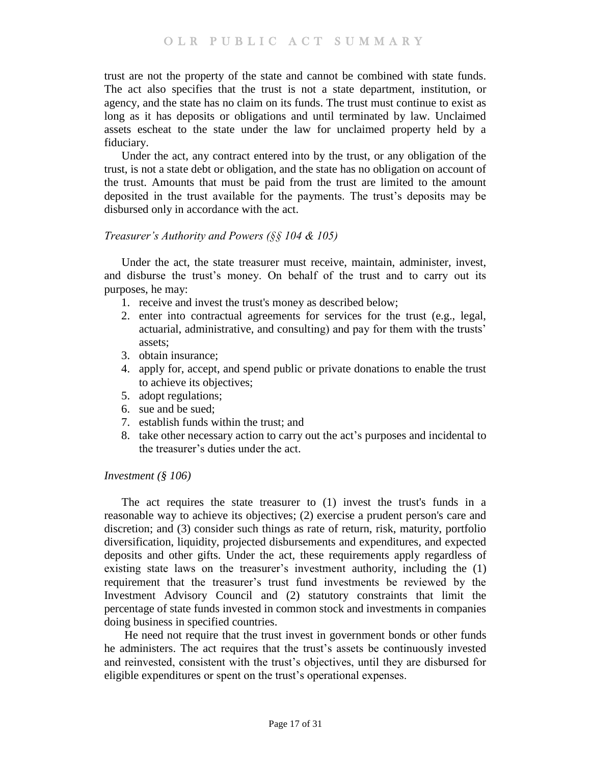trust are not the property of the state and cannot be combined with state funds. The act also specifies that the trust is not a state department, institution, or agency, and the state has no claim on its funds. The trust must continue to exist as long as it has deposits or obligations and until terminated by law. Unclaimed assets escheat to the state under the law for unclaimed property held by a fiduciary.

Under the act, any contract entered into by the trust, or any obligation of the trust, is not a state debt or obligation, and the state has no obligation on account of the trust. Amounts that must be paid from the trust are limited to the amount deposited in the trust available for the payments. The trust's deposits may be disbursed only in accordance with the act.

### *Treasurer's Authority and Powers (§§ 104 & 105)*

Under the act, the state treasurer must receive, maintain, administer, invest, and disburse the trust's money. On behalf of the trust and to carry out its purposes, he may:

- 1. receive and invest the trust's money as described below;
- 2. enter into contractual agreements for services for the trust (e.g., legal, actuarial, administrative, and consulting) and pay for them with the trusts' assets;
- 3. obtain insurance;
- 4. apply for, accept, and spend public or private donations to enable the trust to achieve its objectives;
- 5. adopt regulations;
- 6. sue and be sued;
- 7. establish funds within the trust; and
- 8. take other necessary action to carry out the act's purposes and incidental to the treasurer's duties under the act.

#### *Investment (§ 106)*

The act requires the state treasurer to (1) invest the trust's funds in a reasonable way to achieve its objectives; (2) exercise a prudent person's care and discretion; and (3) consider such things as rate of return, risk, maturity, portfolio diversification, liquidity, projected disbursements and expenditures, and expected deposits and other gifts. Under the act, these requirements apply regardless of existing state laws on the treasurer's investment authority, including the (1) requirement that the treasurer's trust fund investments be reviewed by the Investment Advisory Council and (2) statutory constraints that limit the percentage of state funds invested in common stock and investments in companies doing business in specified countries.

He need not require that the trust invest in government bonds or other funds he administers. The act requires that the trust's assets be continuously invested and reinvested, consistent with the trust's objectives, until they are disbursed for eligible expenditures or spent on the trust's operational expenses.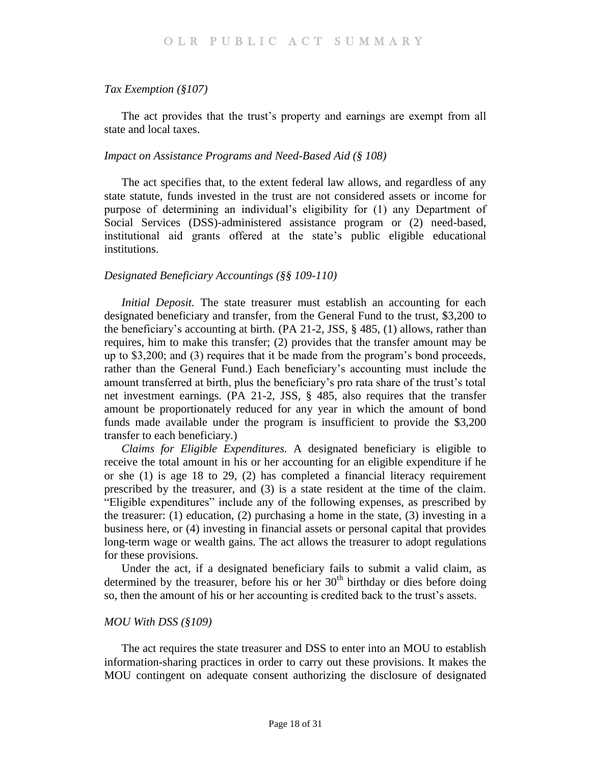#### *Tax Exemption (§107)*

The act provides that the trust's property and earnings are exempt from all state and local taxes.

#### *Impact on Assistance Programs and Need-Based Aid (§ 108)*

The act specifies that, to the extent federal law allows, and regardless of any state statute, funds invested in the trust are not considered assets or income for purpose of determining an individual's eligibility for (1) any Department of Social Services (DSS)-administered assistance program or (2) need-based, institutional aid grants offered at the state's public eligible educational institutions.

#### *Designated Beneficiary Accountings (§§ 109-110)*

*Initial Deposit.* The state treasurer must establish an accounting for each designated beneficiary and transfer, from the General Fund to the trust, \$3,200 to the beneficiary's accounting at birth. (PA 21-2, JSS, § 485, (1) allows, rather than requires, him to make this transfer; (2) provides that the transfer amount may be up to \$3,200; and (3) requires that it be made from the program's bond proceeds, rather than the General Fund.) Each beneficiary's accounting must include the amount transferred at birth, plus the beneficiary's pro rata share of the trust's total net investment earnings. (PA 21-2, JSS, § 485, also requires that the transfer amount be proportionately reduced for any year in which the amount of bond funds made available under the program is insufficient to provide the \$3,200 transfer to each beneficiary.)

*Claims for Eligible Expenditures.* A designated beneficiary is eligible to receive the total amount in his or her accounting for an eligible expenditure if he or she (1) is age 18 to 29, (2) has completed a financial literacy requirement prescribed by the treasurer, and (3) is a state resident at the time of the claim. "Eligible expenditures" include any of the following expenses, as prescribed by the treasurer: (1) education, (2) purchasing a home in the state, (3) investing in a business here, or (4) investing in financial assets or personal capital that provides long-term wage or wealth gains. The act allows the treasurer to adopt regulations for these provisions.

Under the act, if a designated beneficiary fails to submit a valid claim, as determined by the treasurer, before his or her  $30<sup>th</sup>$  birthday or dies before doing so, then the amount of his or her accounting is credited back to the trust's assets.

#### *MOU With DSS (§109)*

The act requires the state treasurer and DSS to enter into an MOU to establish information-sharing practices in order to carry out these provisions. It makes the MOU contingent on adequate consent authorizing the disclosure of designated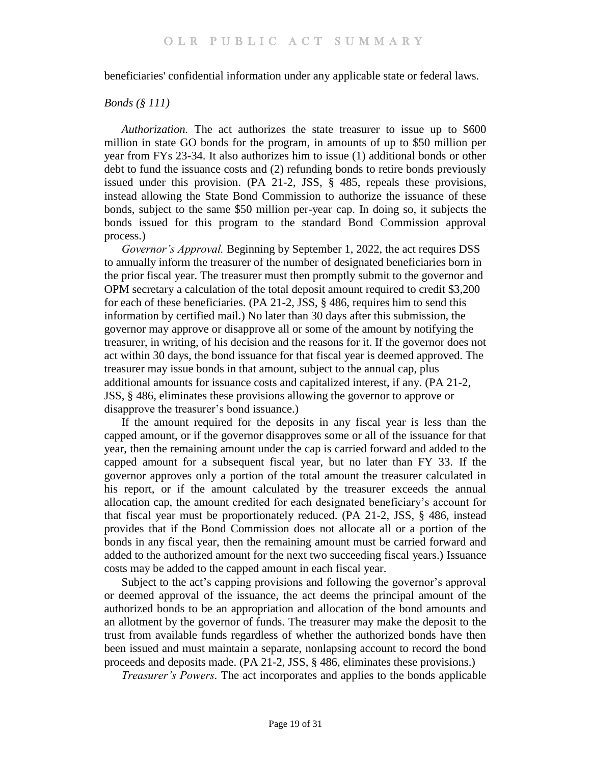beneficiaries' confidential information under any applicable state or federal laws.

### *Bonds (§ 111)*

*Authorization.* The act authorizes the state treasurer to issue up to \$600 million in state GO bonds for the program, in amounts of up to \$50 million per year from FYs 23-34. It also authorizes him to issue (1) additional bonds or other debt to fund the issuance costs and (2) refunding bonds to retire bonds previously issued under this provision. (PA 21-2, JSS, § 485, repeals these provisions, instead allowing the State Bond Commission to authorize the issuance of these bonds, subject to the same \$50 million per-year cap. In doing so, it subjects the bonds issued for this program to the standard Bond Commission approval process.)

*Governor's Approval.* Beginning by September 1, 2022, the act requires DSS to annually inform the treasurer of the number of designated beneficiaries born in the prior fiscal year. The treasurer must then promptly submit to the governor and OPM secretary a calculation of the total deposit amount required to credit \$3,200 for each of these beneficiaries. (PA 21-2, JSS, § 486, requires him to send this information by certified mail.) No later than 30 days after this submission, the governor may approve or disapprove all or some of the amount by notifying the treasurer, in writing, of his decision and the reasons for it. If the governor does not act within 30 days, the bond issuance for that fiscal year is deemed approved. The treasurer may issue bonds in that amount, subject to the annual cap, plus additional amounts for issuance costs and capitalized interest, if any. (PA 21-2, JSS, § 486, eliminates these provisions allowing the governor to approve or disapprove the treasurer's bond issuance.)

If the amount required for the deposits in any fiscal year is less than the capped amount, or if the governor disapproves some or all of the issuance for that year, then the remaining amount under the cap is carried forward and added to the capped amount for a subsequent fiscal year, but no later than FY 33. If the governor approves only a portion of the total amount the treasurer calculated in his report, or if the amount calculated by the treasurer exceeds the annual allocation cap, the amount credited for each designated beneficiary's account for that fiscal year must be proportionately reduced. (PA 21-2, JSS, § 486, instead provides that if the Bond Commission does not allocate all or a portion of the bonds in any fiscal year, then the remaining amount must be carried forward and added to the authorized amount for the next two succeeding fiscal years.) Issuance costs may be added to the capped amount in each fiscal year.

Subject to the act's capping provisions and following the governor's approval or deemed approval of the issuance, the act deems the principal amount of the authorized bonds to be an appropriation and allocation of the bond amounts and an allotment by the governor of funds. The treasurer may make the deposit to the trust from available funds regardless of whether the authorized bonds have then been issued and must maintain a separate, nonlapsing account to record the bond proceeds and deposits made. (PA 21-2, JSS, § 486, eliminates these provisions.)

*Treasurer's Powers.* The act incorporates and applies to the bonds applicable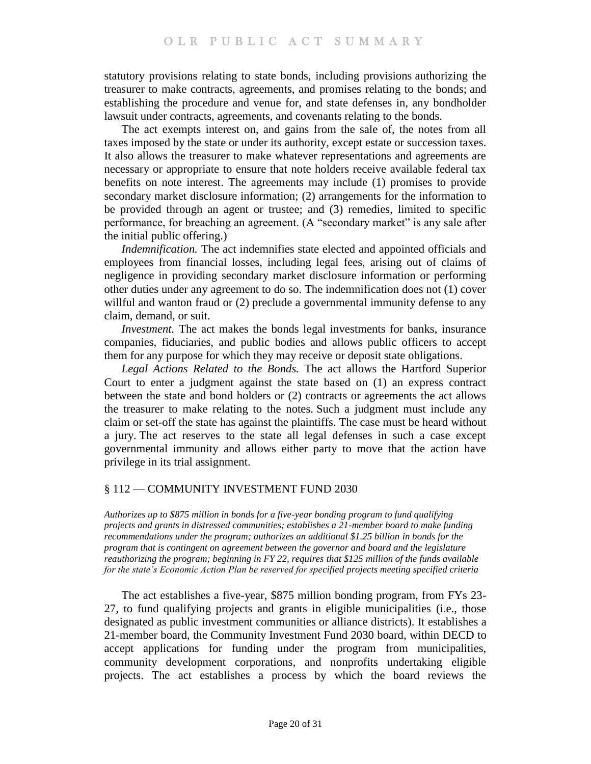statutory provisions relating to state bonds, including provisions authorizing the treasurer to make contracts, agreements, and promises relating to the bonds; and establishing the procedure and venue for, and state defenses in, any bondholder lawsuit under contracts, agreements, and covenants relating to the bonds.

The act exempts interest on, and gains from the sale of, the notes from all taxes imposed by the state or under its authority, except estate or succession taxes. It also allows the treasurer to make whatever representations and agreements are necessary or appropriate to ensure that note holders receive available federal tax benefits on note interest. The agreements may include (1) promises to provide secondary market disclosure information; (2) arrangements for the information to be provided through an agent or trustee; and (3) remedies, limited to specific performance, for breaching an agreement. (A "secondary market" is any sale after the initial public offering.)

*Indemnification.* The act indemnifies state elected and appointed officials and employees from financial losses, including legal fees, arising out of claims of negligence in providing secondary market disclosure information or performing other duties under any agreement to do so. The indemnification does not (1) cover willful and wanton fraud or (2) preclude a governmental immunity defense to any claim, demand, or suit.

*Investment.* The act makes the bonds legal investments for banks, insurance companies, fiduciaries, and public bodies and allows public officers to accept them for any purpose for which they may receive or deposit state obligations.

*Legal Actions Related to the Bonds.* The act allows the Hartford Superior Court to enter a judgment against the state based on (1) an express contract between the state and bond holders or (2) contracts or agreements the act allows the treasurer to make relating to the notes. Such a judgment must include any claim or set-off the state has against the plaintiffs. The case must be heard without a jury. The act reserves to the state all legal defenses in such a case except governmental immunity and allows either party to move that the action have privilege in its trial assignment.

# <span id="page-19-0"></span>§ 112 — COMMUNITY INVESTMENT FUND 2030

<span id="page-19-1"></span>*Authorizes up to \$875 million in bonds for a five-year bonding program to fund qualifying projects and grants in distressed communities; establishes a 21-member board to make funding recommendations under the program; authorizes an additional \$1.25 billion in bonds for the program that is contingent on agreement between the governor and board and the legislature reauthorizing the program; beginning in FY 22, requires that \$125 million of the funds available for the state's Economic Action Plan be reserved for specified projects meeting specified criteria*

The act establishes a five-year, \$875 million bonding program, from FYs 23- 27, to fund qualifying projects and grants in eligible municipalities (i.e., those designated as public investment communities or alliance districts). It establishes a 21-member board, the Community Investment Fund 2030 board, within DECD to accept applications for funding under the program from municipalities, community development corporations, and nonprofits undertaking eligible projects. The act establishes a process by which the board reviews the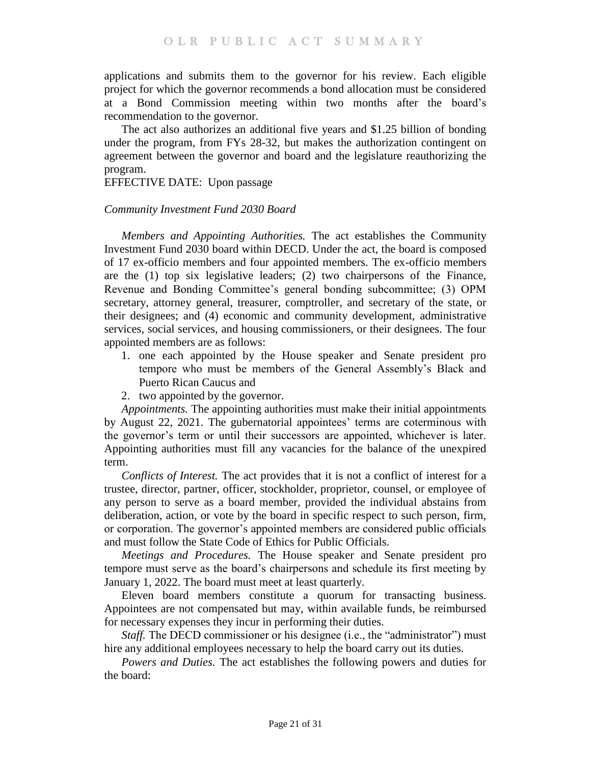applications and submits them to the governor for his review. Each eligible project for which the governor recommends a bond allocation must be considered at a Bond Commission meeting within two months after the board's recommendation to the governor.

The act also authorizes an additional five years and \$1.25 billion of bonding under the program, from FYs 28-32, but makes the authorization contingent on agreement between the governor and board and the legislature reauthorizing the program.

### EFFECTIVE DATE: Upon passage

### *Community Investment Fund 2030 Board*

*Members and Appointing Authorities.* The act establishes the Community Investment Fund 2030 board within DECD. Under the act, the board is composed of 17 ex-officio members and four appointed members. The ex-officio members are the (1) top six legislative leaders; (2) two chairpersons of the Finance, Revenue and Bonding Committee's general bonding subcommittee; (3) OPM secretary, attorney general, treasurer, comptroller, and secretary of the state, or their designees; and (4) economic and community development, administrative services, social services, and housing commissioners, or their designees. The four appointed members are as follows:

- 1. one each appointed by the House speaker and Senate president pro tempore who must be members of the General Assembly's Black and Puerto Rican Caucus and
- 2. two appointed by the governor.

*Appointments.* The appointing authorities must make their initial appointments by August 22, 2021. The gubernatorial appointees' terms are coterminous with the governor's term or until their successors are appointed, whichever is later. Appointing authorities must fill any vacancies for the balance of the unexpired term.

*Conflicts of Interest.* The act provides that it is not a conflict of interest for a trustee, director, partner, officer, stockholder, proprietor, counsel, or employee of any person to serve as a board member, provided the individual abstains from deliberation, action, or vote by the board in specific respect to such person, firm, or corporation. The governor's appointed members are considered public officials and must follow the State Code of Ethics for Public Officials.

*Meetings and Procedures.* The House speaker and Senate president pro tempore must serve as the board's chairpersons and schedule its first meeting by January 1, 2022. The board must meet at least quarterly.

Eleven board members constitute a quorum for transacting business. Appointees are not compensated but may, within available funds, be reimbursed for necessary expenses they incur in performing their duties.

*Staff.* The DECD commissioner or his designee (i.e., the "administrator") must hire any additional employees necessary to help the board carry out its duties.

*Powers and Duties.* The act establishes the following powers and duties for the board: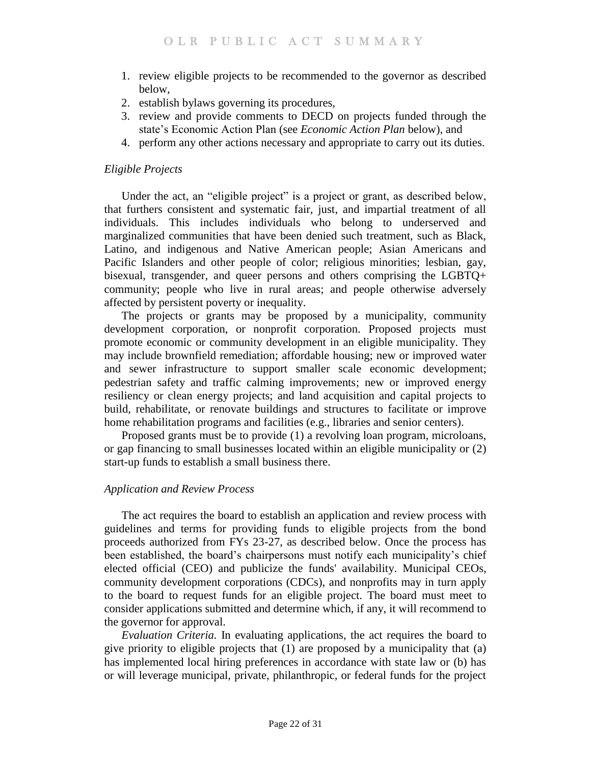- 1. review eligible projects to be recommended to the governor as described below,
- 2. establish bylaws governing its procedures,
- 3. review and provide comments to DECD on projects funded through the state's Economic Action Plan (see *Economic Action Plan* below), and
- 4. perform any other actions necessary and appropriate to carry out its duties.

# *Eligible Projects*

Under the act, an "eligible project" is a project or grant, as described below, that furthers consistent and systematic fair, just, and impartial treatment of all individuals. This includes individuals who belong to underserved and marginalized communities that have been denied such treatment, such as Black, Latino, and indigenous and Native American people; Asian Americans and Pacific Islanders and other people of color; religious minorities; lesbian, gay, bisexual, transgender, and queer persons and others comprising the LGBTQ+ community; people who live in rural areas; and people otherwise adversely affected by persistent poverty or inequality.

The projects or grants may be proposed by a municipality, community development corporation, or nonprofit corporation. Proposed projects must promote economic or community development in an eligible municipality. They may include brownfield remediation; affordable housing; new or improved water and sewer infrastructure to support smaller scale economic development; pedestrian safety and traffic calming improvements; new or improved energy resiliency or clean energy projects; and land acquisition and capital projects to build, rehabilitate, or renovate buildings and structures to facilitate or improve home rehabilitation programs and facilities (e.g., libraries and senior centers).

Proposed grants must be to provide (1) a revolving loan program, microloans, or gap financing to small businesses located within an eligible municipality or (2) start-up funds to establish a small business there.

# *Application and Review Process*

The act requires the board to establish an application and review process with guidelines and terms for providing funds to eligible projects from the bond proceeds authorized from FYs 23-27, as described below. Once the process has been established, the board's chairpersons must notify each municipality's chief elected official (CEO) and publicize the funds' availability. Municipal CEOs, community development corporations (CDCs), and nonprofits may in turn apply to the board to request funds for an eligible project. The board must meet to consider applications submitted and determine which, if any, it will recommend to the governor for approval.

*Evaluation Criteria.* In evaluating applications, the act requires the board to give priority to eligible projects that (1) are proposed by a municipality that (a) has implemented local hiring preferences in accordance with state law or (b) has or will leverage municipal, private, philanthropic, or federal funds for the project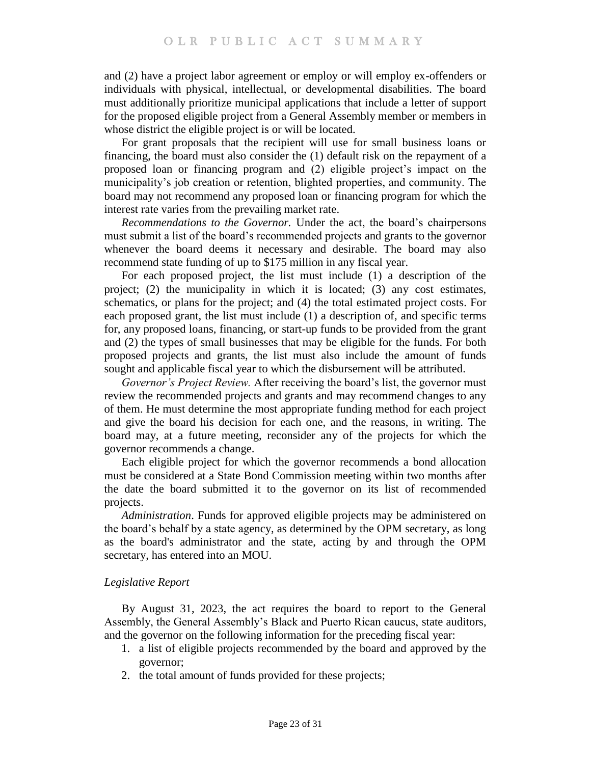and (2) have a project labor agreement or employ or will employ ex-offenders or individuals with physical, intellectual, or developmental disabilities. The board must additionally prioritize municipal applications that include a letter of support for the proposed eligible project from a General Assembly member or members in whose district the eligible project is or will be located.

For grant proposals that the recipient will use for small business loans or financing, the board must also consider the (1) default risk on the repayment of a proposed loan or financing program and (2) eligible project's impact on the municipality's job creation or retention, blighted properties, and community. The board may not recommend any proposed loan or financing program for which the interest rate varies from the prevailing market rate.

*Recommendations to the Governor.* Under the act, the board's chairpersons must submit a list of the board's recommended projects and grants to the governor whenever the board deems it necessary and desirable. The board may also recommend state funding of up to \$175 million in any fiscal year.

For each proposed project, the list must include (1) a description of the project; (2) the municipality in which it is located; (3) any cost estimates, schematics, or plans for the project; and (4) the total estimated project costs. For each proposed grant, the list must include (1) a description of, and specific terms for, any proposed loans, financing, or start-up funds to be provided from the grant and (2) the types of small businesses that may be eligible for the funds. For both proposed projects and grants, the list must also include the amount of funds sought and applicable fiscal year to which the disbursement will be attributed.

*Governor's Project Review.* After receiving the board's list, the governor must review the recommended projects and grants and may recommend changes to any of them. He must determine the most appropriate funding method for each project and give the board his decision for each one, and the reasons, in writing. The board may, at a future meeting, reconsider any of the projects for which the governor recommends a change.

Each eligible project for which the governor recommends a bond allocation must be considered at a State Bond Commission meeting within two months after the date the board submitted it to the governor on its list of recommended projects.

*Administration*. Funds for approved eligible projects may be administered on the board's behalf by a state agency, as determined by the OPM secretary, as long as the board's administrator and the state, acting by and through the OPM secretary, has entered into an MOU.

#### *Legislative Report*

By August 31, 2023, the act requires the board to report to the General Assembly, the General Assembly's Black and Puerto Rican caucus, state auditors, and the governor on the following information for the preceding fiscal year:

- 1. a list of eligible projects recommended by the board and approved by the governor;
- 2. the total amount of funds provided for these projects;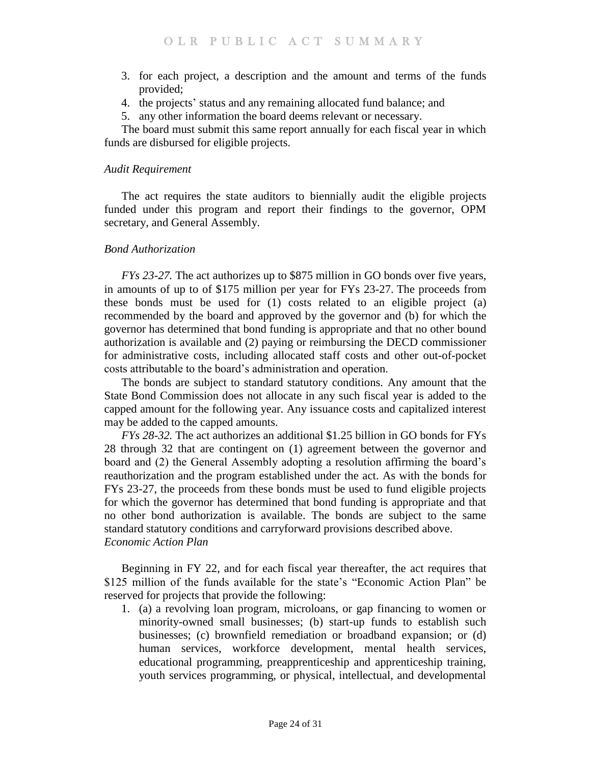- 3. for each project, a description and the amount and terms of the funds provided;
- 4. the projects' status and any remaining allocated fund balance; and
- 5. any other information the board deems relevant or necessary.

The board must submit this same report annually for each fiscal year in which funds are disbursed for eligible projects.

#### *Audit Requirement*

The act requires the state auditors to biennially audit the eligible projects funded under this program and report their findings to the governor, OPM secretary, and General Assembly.

### *Bond Authorization*

*FYs 23-27.* The act authorizes up to \$875 million in GO bonds over five years, in amounts of up to of \$175 million per year for FYs 23-27. The proceeds from these bonds must be used for (1) costs related to an eligible project (a) recommended by the board and approved by the governor and (b) for which the governor has determined that bond funding is appropriate and that no other bound authorization is available and (2) paying or reimbursing the DECD commissioner for administrative costs, including allocated staff costs and other out-of-pocket costs attributable to the board's administration and operation.

The bonds are subject to standard statutory conditions. Any amount that the State Bond Commission does not allocate in any such fiscal year is added to the capped amount for the following year. Any issuance costs and capitalized interest may be added to the capped amounts.

*FYs 28-32.* The act authorizes an additional \$1.25 billion in GO bonds for FYs 28 through 32 that are contingent on (1) agreement between the governor and board and (2) the General Assembly adopting a resolution affirming the board's reauthorization and the program established under the act. As with the bonds for FYs 23-27, the proceeds from these bonds must be used to fund eligible projects for which the governor has determined that bond funding is appropriate and that no other bond authorization is available. The bonds are subject to the same standard statutory conditions and carryforward provisions described above. *Economic Action Plan*

Beginning in FY 22, and for each fiscal year thereafter, the act requires that \$125 million of the funds available for the state's "Economic Action Plan" be reserved for projects that provide the following:

1. (a) a revolving loan program, microloans, or gap financing to women or minority-owned small businesses; (b) start-up funds to establish such businesses; (c) brownfield remediation or broadband expansion; or (d) human services, workforce development, mental health services, educational programming, preapprenticeship and apprenticeship training, youth services programming, or physical, intellectual, and developmental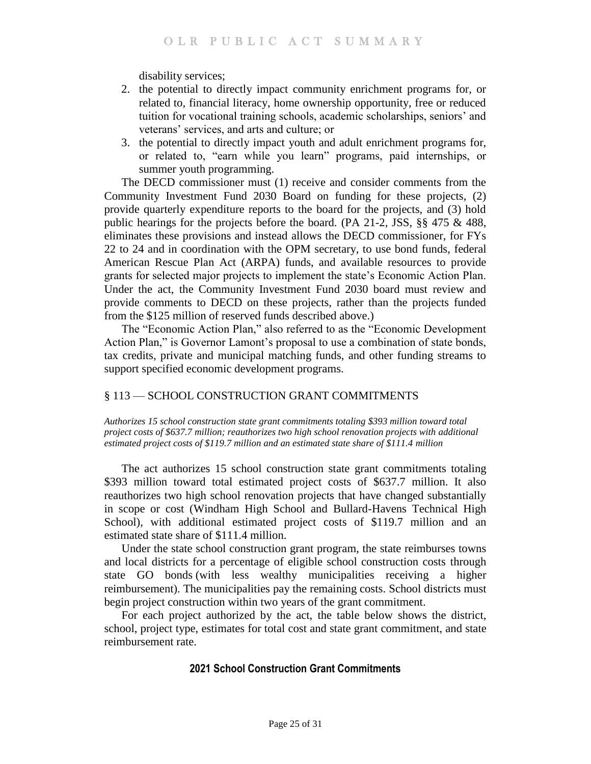disability services;

- 2. the potential to directly impact community enrichment programs for, or related to, financial literacy, home ownership opportunity, free or reduced tuition for vocational training schools, academic scholarships, seniors' and veterans' services, and arts and culture; or
- 3. the potential to directly impact youth and adult enrichment programs for, or related to, "earn while you learn" programs, paid internships, or summer youth programming.

The DECD commissioner must (1) receive and consider comments from the Community Investment Fund 2030 Board on funding for these projects, (2) provide quarterly expenditure reports to the board for the projects, and (3) hold public hearings for the projects before the board. (PA 21-2, JSS, §§ 475 & 488, eliminates these provisions and instead allows the DECD commissioner, for FYs 22 to 24 and in coordination with the OPM secretary, to use bond funds, federal American Rescue Plan Act (ARPA) funds, and available resources to provide grants for selected major projects to implement the state's Economic Action Plan. Under the act, the Community Investment Fund 2030 board must review and provide comments to DECD on these projects, rather than the projects funded from the \$125 million of reserved funds described above.)

The "Economic Action Plan," also referred to as the "Economic Development Action Plan," is Governor Lamont's proposal to use a combination of state bonds, tax credits, private and municipal matching funds, and other funding streams to support specified economic development programs.

# <span id="page-24-0"></span>§ 113 — SCHOOL CONSTRUCTION GRANT COMMITMENTS

<span id="page-24-1"></span>*Authorizes 15 school construction state grant commitments totaling \$393 million toward total project costs of \$637.7 million; reauthorizes two high school renovation projects with additional estimated project costs of \$119.7 million and an estimated state share of \$111.4 million*

The act authorizes 15 school construction state grant commitments totaling \$393 million toward total estimated project costs of \$637.7 million. It also reauthorizes two high school renovation projects that have changed substantially in scope or cost (Windham High School and Bullard-Havens Technical High School), with additional estimated project costs of \$119.7 million and an estimated state share of \$111.4 million.

Under the state school construction grant program, the state reimburses towns and local districts for a percentage of eligible school construction costs through state GO bonds (with less wealthy municipalities receiving a higher reimbursement). The municipalities pay the remaining costs. School districts must begin project construction within two years of the grant commitment.

For each project authorized by the act, the table below shows the district, school, project type, estimates for total cost and state grant commitment, and state reimbursement rate.

# **2021 School Construction Grant Commitments**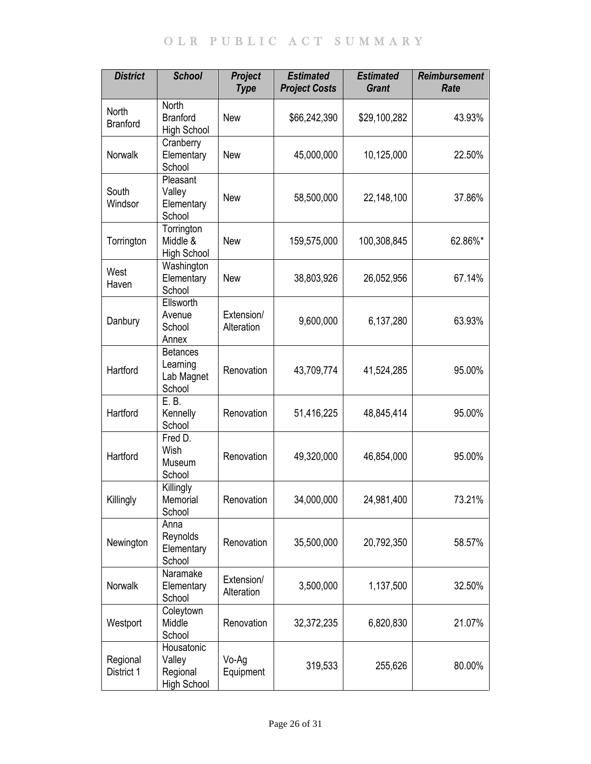| <b>District</b>          | <b>School</b>                                         | <b>Project</b><br><b>Type</b> | <b>Estimated</b><br><b>Project Costs</b> | <b>Estimated</b><br><b>Grant</b> | <b>Reimbursement</b><br>Rate |
|--------------------------|-------------------------------------------------------|-------------------------------|------------------------------------------|----------------------------------|------------------------------|
| North<br><b>Branford</b> | <b>North</b><br><b>Branford</b><br><b>High School</b> | <b>New</b>                    | \$66,242,390                             | \$29,100,282                     | 43.93%                       |
| Norwalk                  | Cranberry<br>Elementary<br>School                     | <b>New</b>                    | 45,000,000                               | 10,125,000                       | 22.50%                       |
| South<br>Windsor         | Pleasant<br>Valley<br>Elementary<br>School            | <b>New</b>                    | 58,500,000                               | 22,148,100                       | 37.86%                       |
| Torrington               | Torrington<br>Middle &<br>High School                 | <b>New</b>                    | 159,575,000                              | 100,308,845                      | 62.86%*                      |
| West<br>Haven            | Washington<br>Elementary<br>School                    | <b>New</b>                    | 38,803,926                               | 26,052,956                       | 67.14%                       |
| Danbury                  | Ellsworth<br>Avenue<br>School<br>Annex                | Extension/<br>Alteration      | 9,600,000                                | 6,137,280                        | 63.93%                       |
| Hartford                 | <b>Betances</b><br>Learning<br>Lab Magnet<br>School   | Renovation                    | 43,709,774                               | 41,524,285                       | 95.00%                       |
| Hartford                 | E. B.<br>Kennelly<br>School                           | Renovation                    | 51,416,225                               | 48,845,414                       | 95.00%                       |
| Hartford                 | Fred D.<br>Wish<br>Museum<br>School                   | Renovation                    | 49,320,000                               | 46,854,000                       | 95.00%                       |
| Killingly                | Killingly<br>Memorial<br>School                       | Renovation                    | 34,000,000                               | 24,981,400                       | 73.21%                       |
| Newington                | Anna<br>Reynolds<br>Elementary<br>School              | Renovation                    | 35,500,000                               | 20,792,350                       | 58.57%                       |
| Norwalk                  | Naramake<br>Elementary<br>School                      | Extension/<br>Alteration      | 3,500,000                                | 1,137,500                        | 32.50%                       |
| Westport                 | Coleytown<br>Middle<br>School                         | Renovation                    | 32,372,235                               | 6,820,830                        | 21.07%                       |
| Regional<br>District 1   | Housatonic<br>Valley<br>Regional<br>High School       | Vo-Ag<br>Equipment            | 319,533                                  | 255,626                          | 80.00%                       |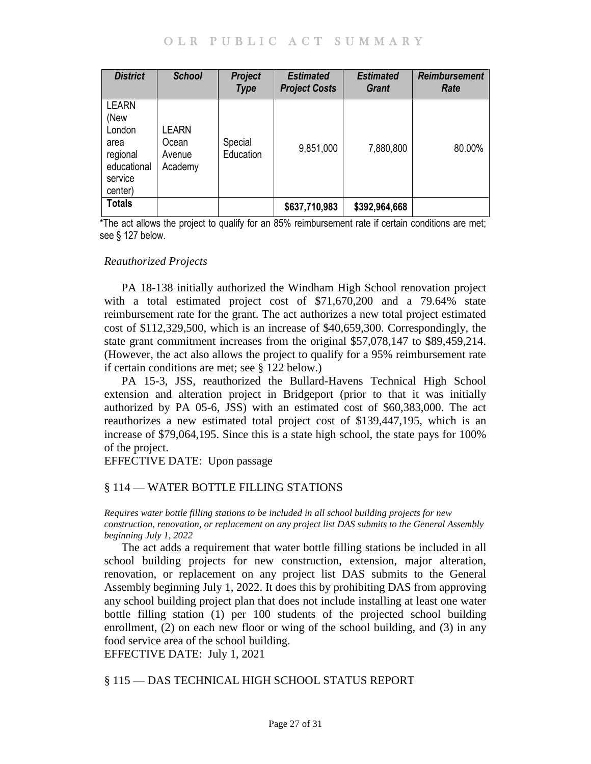| <b>District</b>                                                                         | <b>School</b>                              | <b>Project</b><br><b>Type</b> | <b>Estimated</b><br><b>Project Costs</b> | <b>Estimated</b><br><b>Grant</b> | <b>Reimbursement</b><br>Rate |
|-----------------------------------------------------------------------------------------|--------------------------------------------|-------------------------------|------------------------------------------|----------------------------------|------------------------------|
| <b>LEARN</b><br>(New<br>London<br>area<br>regional<br>educational<br>service<br>center) | <b>_EARN</b><br>Ocean<br>Avenue<br>Academy | Special<br>Education          | 9,851,000                                | 7,880,800                        | 80.00%                       |
| <b>Totals</b>                                                                           |                                            |                               | \$637,710,983                            | \$392,964,668                    |                              |

\*The act allows the project to qualify for an 85% reimbursement rate if certain conditions are met; see § 127 below.

#### *Reauthorized Projects*

PA 18-138 initially authorized the Windham High School renovation project with a total estimated project cost of \$71,670,200 and a 79.64% state reimbursement rate for the grant. The act authorizes a new total project estimated cost of \$112,329,500, which is an increase of \$40,659,300. Correspondingly, the state grant commitment increases from the original \$57,078,147 to \$89,459,214. (However, the act also allows the project to qualify for a 95% reimbursement rate if certain conditions are met; see § 122 below.)

PA 15-3, JSS, reauthorized the Bullard-Havens Technical High School extension and alteration project in Bridgeport (prior to that it was initially authorized by PA 05-6, JSS) with an estimated cost of \$60,383,000. The act reauthorizes a new estimated total project cost of \$139,447,195, which is an increase of \$79,064,195. Since this is a state high school, the state pays for 100% of the project.

EFFECTIVE DATE: Upon passage

# <span id="page-26-0"></span>§ 114 — WATER BOTTLE FILLING STATIONS

<span id="page-26-1"></span>*Requires water bottle filling stations to be included in all school building projects for new construction, renovation, or replacement on any project list DAS submits to the General Assembly beginning July 1, 2022*

The act adds a requirement that water bottle filling stations be included in all school building projects for new construction, extension, major alteration, renovation, or replacement on any project list DAS submits to the General Assembly beginning July 1, 2022. It does this by prohibiting DAS from approving any school building project plan that does not include installing at least one water bottle filling station (1) per 100 students of the projected school building enrollment, (2) on each new floor or wing of the school building, and (3) in any food service area of the school building.

EFFECTIVE DATE: July 1, 2021

# <span id="page-26-2"></span>§ 115 — DAS TECHNICAL HIGH SCHOOL STATUS REPORT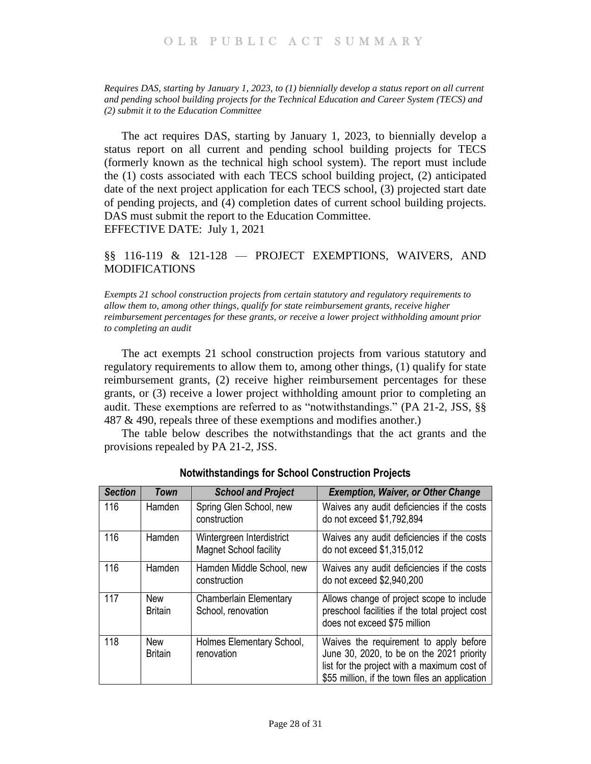<span id="page-27-0"></span>*Requires DAS, starting by January 1, 2023, to (1) biennially develop a status report on all current and pending school building projects for the Technical Education and Career System (TECS) and (2) submit it to the Education Committee*

The act requires DAS, starting by January 1, 2023, to biennially develop a status report on all current and pending school building projects for TECS (formerly known as the technical high school system). The report must include the (1) costs associated with each TECS school building project, (2) anticipated date of the next project application for each TECS school, (3) projected start date of pending projects, and (4) completion dates of current school building projects. DAS must submit the report to the Education Committee. EFFECTIVE DATE: July 1, 2021

# <span id="page-27-1"></span>§§ 116-119 & 121-128 — PROJECT EXEMPTIONS, WAIVERS, AND MODIFICATIONS

<span id="page-27-2"></span>*Exempts 21 school construction projects from certain statutory and regulatory requirements to allow them to, among other things, qualify for state reimbursement grants, receive higher reimbursement percentages for these grants, or receive a lower project withholding amount prior to completing an audit* 

The act exempts 21 school construction projects from various statutory and regulatory requirements to allow them to, among other things, (1) qualify for state reimbursement grants, (2) receive higher reimbursement percentages for these grants, or (3) receive a lower project withholding amount prior to completing an audit. These exemptions are referred to as "notwithstandings." (PA 21-2, JSS, §§ 487 & 490, repeals three of these exemptions and modifies another.)

The table below describes the notwithstandings that the act grants and the provisions repealed by PA 21-2, JSS.

| <b>Section</b> | Town                         | <b>School and Project</b>                                  | <b>Exemption, Waiver, or Other Change</b>                                                                                                                                            |
|----------------|------------------------------|------------------------------------------------------------|--------------------------------------------------------------------------------------------------------------------------------------------------------------------------------------|
| 116            | Hamden                       | Spring Glen School, new<br>construction                    | Waives any audit deficiencies if the costs<br>do not exceed \$1,792,894                                                                                                              |
| 116            | Hamden                       | Wintergreen Interdistrict<br><b>Magnet School facility</b> | Waives any audit deficiencies if the costs<br>do not exceed \$1,315,012                                                                                                              |
| 116            | Hamden                       | Hamden Middle School, new<br>construction                  | Waives any audit deficiencies if the costs<br>do not exceed \$2,940,200                                                                                                              |
| 117            | <b>New</b><br><b>Britain</b> | <b>Chamberlain Elementary</b><br>School, renovation        | Allows change of project scope to include<br>preschool facilities if the total project cost<br>does not exceed \$75 million                                                          |
| 118            | <b>New</b><br><b>Britain</b> | Holmes Elementary School,<br>renovation                    | Waives the requirement to apply before<br>June 30, 2020, to be on the 2021 priority<br>list for the project with a maximum cost of<br>\$55 million, if the town files an application |

**Notwithstandings for School Construction Projects**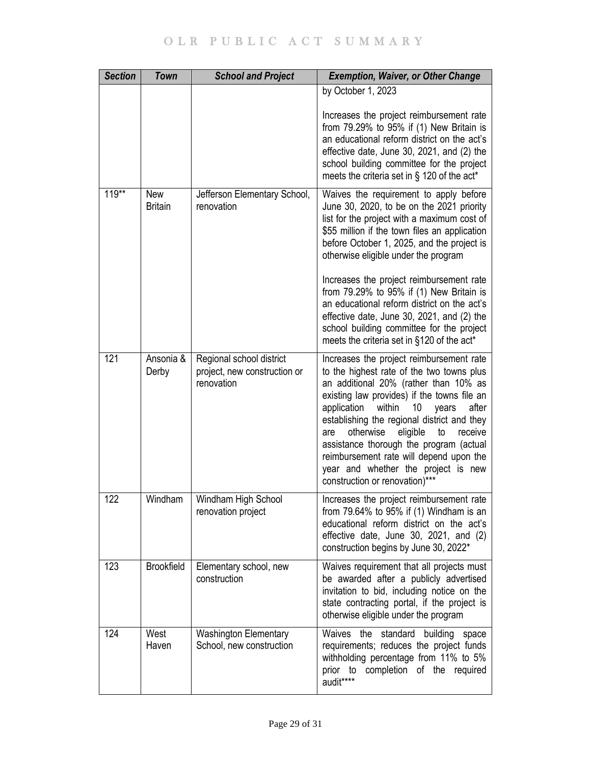| <b>Section</b> | <b>Town</b>           | <b>School and Project</b>                                              | <b>Exemption, Waiver, or Other Change</b>                                                                                                                                                                                                                                                                                                                                                                                                                                                     |
|----------------|-----------------------|------------------------------------------------------------------------|-----------------------------------------------------------------------------------------------------------------------------------------------------------------------------------------------------------------------------------------------------------------------------------------------------------------------------------------------------------------------------------------------------------------------------------------------------------------------------------------------|
|                |                       |                                                                        | by October 1, 2023                                                                                                                                                                                                                                                                                                                                                                                                                                                                            |
|                |                       |                                                                        | Increases the project reimbursement rate<br>from $79.29\%$ to $95\%$ if (1) New Britain is<br>an educational reform district on the act's<br>effective date, June 30, 2021, and (2) the<br>school building committee for the project<br>meets the criteria set in § 120 of the act*                                                                                                                                                                                                           |
| $119***$       | New<br><b>Britain</b> | Jefferson Elementary School,<br>renovation                             | Waives the requirement to apply before<br>June 30, 2020, to be on the 2021 priority<br>list for the project with a maximum cost of<br>\$55 million if the town files an application<br>before October 1, 2025, and the project is<br>otherwise eligible under the program                                                                                                                                                                                                                     |
|                |                       |                                                                        | Increases the project reimbursement rate<br>from $79.29\%$ to $95\%$ if (1) New Britain is<br>an educational reform district on the act's<br>effective date, June 30, 2021, and (2) the<br>school building committee for the project<br>meets the criteria set in §120 of the act*                                                                                                                                                                                                            |
| 121            | Ansonia &<br>Derby    | Regional school district<br>project, new construction or<br>renovation | Increases the project reimbursement rate<br>to the highest rate of the two towns plus<br>an additional 20% (rather than 10% as<br>existing law provides) if the towns file an<br>within<br>application<br>10<br>after<br>years<br>establishing the regional district and they<br>otherwise<br>eligible<br>to<br>receive<br>are<br>assistance thorough the program (actual<br>reimbursement rate will depend upon the<br>year and whether the project is new<br>construction or renovation)*** |
| 122            | Windham               | Windham High School<br>renovation project                              | Increases the project reimbursement rate<br>from $79.64\%$ to $95\%$ if (1) Windham is an<br>educational reform district on the act's<br>effective date, June 30, 2021, and (2)<br>construction begins by June 30, 2022*                                                                                                                                                                                                                                                                      |
| 123            | <b>Brookfield</b>     | Elementary school, new<br>construction                                 | Waives requirement that all projects must<br>be awarded after a publicly advertised<br>invitation to bid, including notice on the<br>state contracting portal, if the project is<br>otherwise eligible under the program                                                                                                                                                                                                                                                                      |
| 124            | West<br>Haven         | <b>Washington Elementary</b><br>School, new construction               | Waives<br>the standard<br>building<br>space<br>requirements; reduces the project funds<br>withholding percentage from 11% to 5%<br>prior to completion of the required<br>audit****                                                                                                                                                                                                                                                                                                           |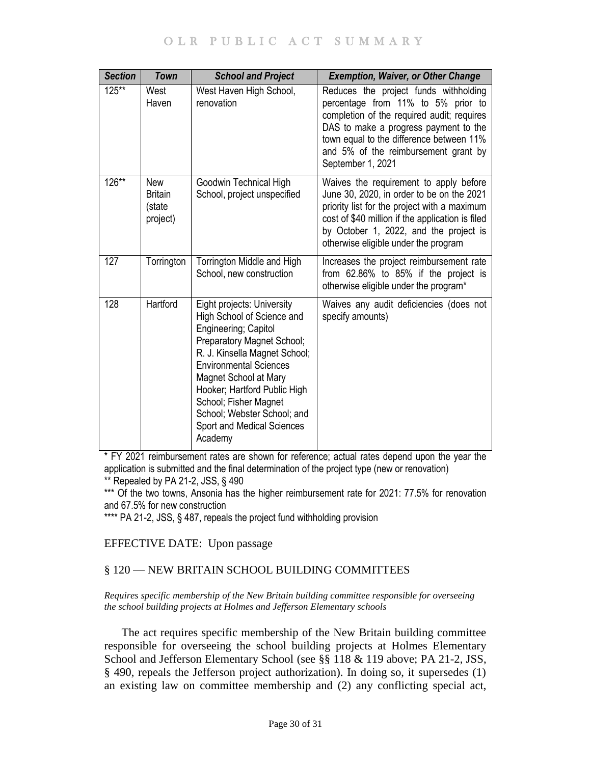# OLR PUBLIC ACT SUMMARY

| <b>Section</b> | <b>Town</b>                                        | <b>School and Project</b>                                                                                                                                                                                                                                                                                                                  | <b>Exemption, Waiver, or Other Change</b>                                                                                                                                                                                                                                   |
|----------------|----------------------------------------------------|--------------------------------------------------------------------------------------------------------------------------------------------------------------------------------------------------------------------------------------------------------------------------------------------------------------------------------------------|-----------------------------------------------------------------------------------------------------------------------------------------------------------------------------------------------------------------------------------------------------------------------------|
| 125**          | West<br>Haven                                      | West Haven High School,<br>renovation                                                                                                                                                                                                                                                                                                      | Reduces the project funds withholding<br>percentage from 11% to 5% prior to<br>completion of the required audit; requires<br>DAS to make a progress payment to the<br>town equal to the difference between 11%<br>and 5% of the reimbursement grant by<br>September 1, 2021 |
| 126**          | <b>New</b><br><b>Britain</b><br>(state<br>project) | Goodwin Technical High<br>School, project unspecified                                                                                                                                                                                                                                                                                      | Waives the requirement to apply before<br>June 30, 2020, in order to be on the 2021<br>priority list for the project with a maximum<br>cost of \$40 million if the application is filed<br>by October 1, 2022, and the project is<br>otherwise eligible under the program   |
| 127            | Torrington                                         | Torrington Middle and High<br>School, new construction                                                                                                                                                                                                                                                                                     | Increases the project reimbursement rate<br>from 62.86% to 85% if the project is<br>otherwise eligible under the program*                                                                                                                                                   |
| 128            | Hartford                                           | Eight projects: University<br>High School of Science and<br>Engineering; Capitol<br>Preparatory Magnet School;<br>R. J. Kinsella Magnet School;<br><b>Environmental Sciences</b><br>Magnet School at Mary<br>Hooker; Hartford Public High<br>School; Fisher Magnet<br>School; Webster School; and<br>Sport and Medical Sciences<br>Academy | Waives any audit deficiencies (does not<br>specify amounts)                                                                                                                                                                                                                 |

\* FY 2021 reimbursement rates are shown for reference; actual rates depend upon the year the application is submitted and the final determination of the project type (new or renovation) \*\* Repealed by PA 21-2, JSS, § 490

\*\*\* Of the two towns, Ansonia has the higher reimbursement rate for 2021: 77.5% for renovation and 67.5% for new construction

\*\*\*\* PA 21-2, JSS, § 487, repeals the project fund withholding provision

# EFFECTIVE DATE: Upon passage

# <span id="page-29-0"></span>§ 120 — NEW BRITAIN SCHOOL BUILDING COMMITTEES

<span id="page-29-1"></span>*Requires specific membership of the New Britain building committee responsible for overseeing the school building projects at Holmes and Jefferson Elementary schools*

The act requires specific membership of the New Britain building committee responsible for overseeing the school building projects at Holmes Elementary School and Jefferson Elementary School (see §§ 118 & 119 above; PA 21-2, JSS, § 490, repeals the Jefferson project authorization). In doing so, it supersedes (1) an existing law on committee membership and (2) any conflicting special act,